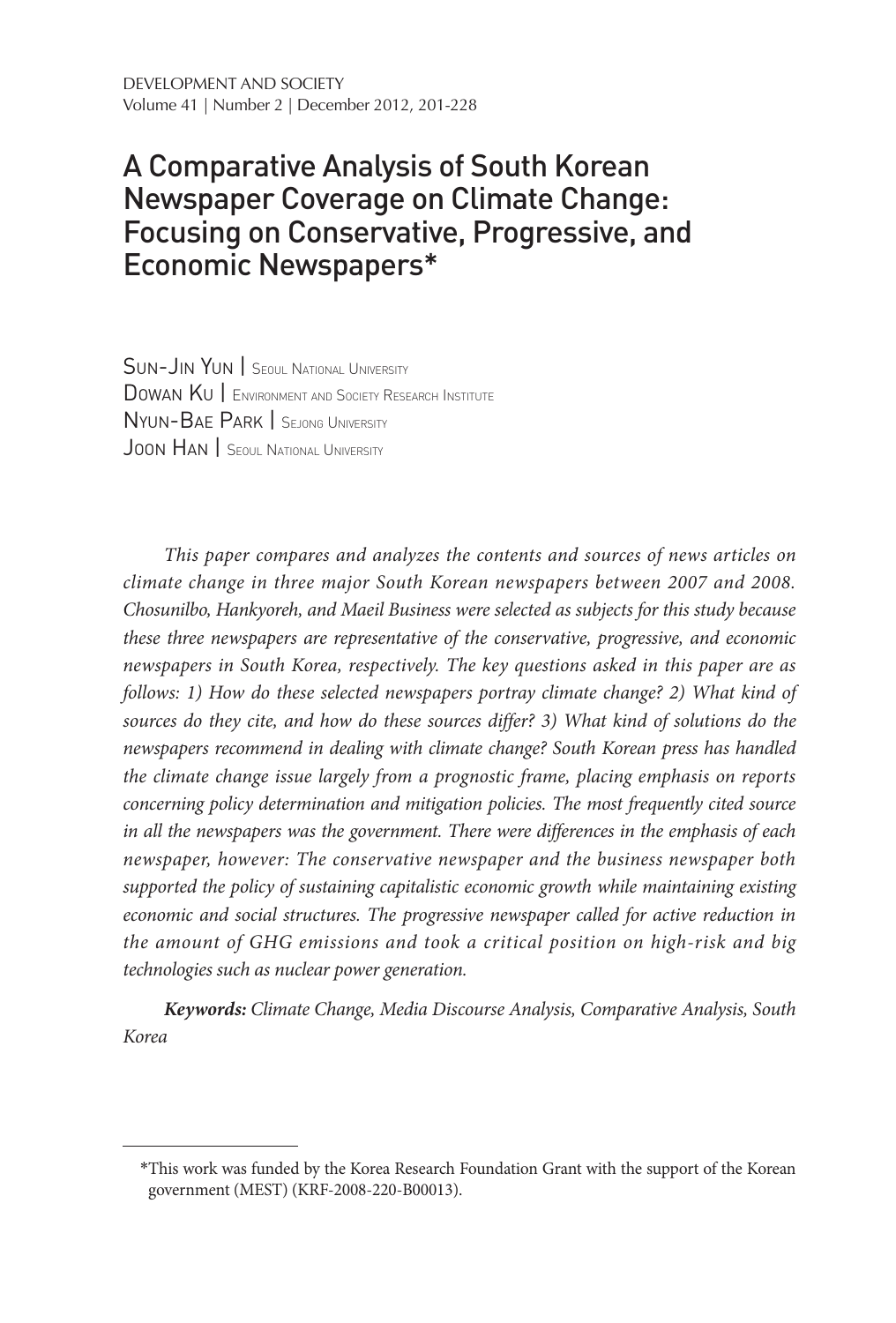# A Comparative Analysis of South Korean Newspaper Coverage on Climate Change: Focusing on Conservative, Progressive, and Economic Newspapers\*

Sun-Jin Yun | Seoul National University Dowan Ku | Environment and Society Research Institute Nyun-Bae Park | Sejong University JOON HAN SEOUL NATIONAL UNIVERSITY

*This paper compares and analyzes the contents and sources of news articles on climate change in three major South Korean newspapers between 2007 and 2008. Chosunilbo, Hankyoreh, and Maeil Business were selected as subjects for this study because these three newspapers are representative of the conservative, progressive, and economic newspapers in South Korea, respectively. The key questions asked in this paper are as follows: 1) How do these selected newspapers portray climate change? 2) What kind of sources do they cite, and how do these sources differ? 3) What kind of solutions do the newspapers recommend in dealing with climate change? South Korean press has handled the climate change issue largely from a prognostic frame, placing emphasis on reports concerning policy determination and mitigation policies. The most frequently cited source in all the newspapers was the government. There were differences in the emphasis of each newspaper, however: The conservative newspaper and the business newspaper both supported the policy of sustaining capitalistic economic growth while maintaining existing economic and social structures. The progressive newspaper called for active reduction in the amount of GHG emissions and took a critical position on high-risk and big technologies such as nuclear power generation.*

*Keywords: Climate Change, Media Discourse Analysis, Comparative Analysis, South Korea*

<sup>\*</sup>This work was funded by the Korea Research Foundation Grant with the support of the Korean government (MEST) (KRF-2008-220-B00013).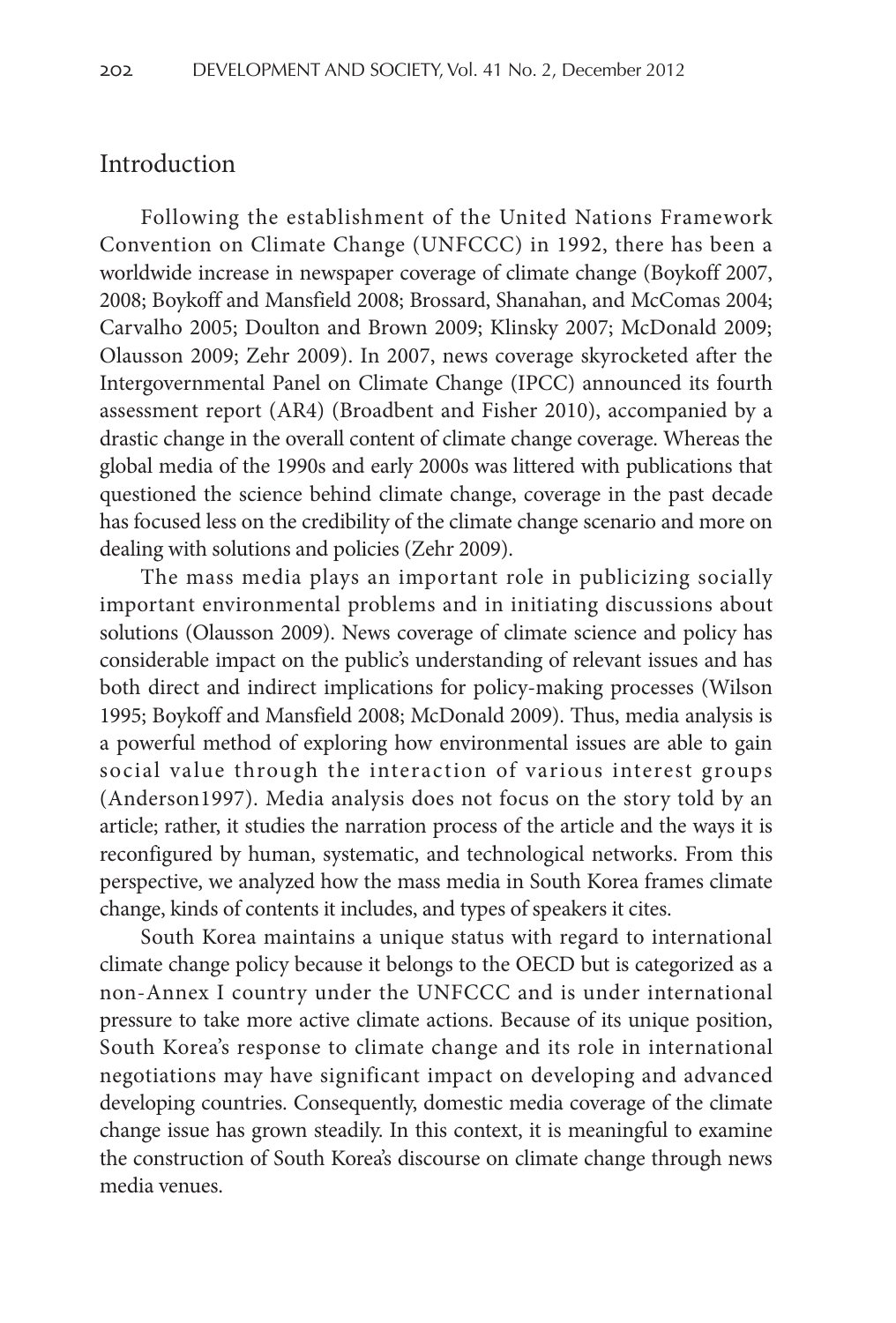### Introduction

Following the establishment of the United Nations Framework Convention on Climate Change (UNFCCC) in 1992, there has been a worldwide increase in newspaper coverage of climate change (Boykoff 2007, 2008; Boykoff and Mansfield 2008; Brossard, Shanahan, and McComas 2004; Carvalho 2005; Doulton and Brown 2009; Klinsky 2007; McDonald 2009; Olausson 2009; Zehr 2009). In 2007, news coverage skyrocketed after the Intergovernmental Panel on Climate Change (IPCC) announced its fourth assessment report (AR4) (Broadbent and Fisher 2010), accompanied by a drastic change in the overall content of climate change coverage. Whereas the global media of the 1990s and early 2000s was littered with publications that questioned the science behind climate change, coverage in the past decade has focused less on the credibility of the climate change scenario and more on dealing with solutions and policies (Zehr 2009).

The mass media plays an important role in publicizing socially important environmental problems and in initiating discussions about solutions (Olausson 2009). News coverage of climate science and policy has considerable impact on the public's understanding of relevant issues and has both direct and indirect implications for policy-making processes (Wilson 1995; Boykoff and Mansfield 2008; McDonald 2009). Thus, media analysis is a powerful method of exploring how environmental issues are able to gain social value through the interaction of various interest groups (Anderson1997). Media analysis does not focus on the story told by an article; rather, it studies the narration process of the article and the ways it is reconfigured by human, systematic, and technological networks. From this perspective, we analyzed how the mass media in South Korea frames climate change, kinds of contents it includes, and types of speakers it cites.

South Korea maintains a unique status with regard to international climate change policy because it belongs to the OECD but is categorized as a non-Annex I country under the UNFCCC and is under international pressure to take more active climate actions. Because of its unique position, South Korea's response to climate change and its role in international negotiations may have significant impact on developing and advanced developing countries. Consequently, domestic media coverage of the climate change issue has grown steadily. In this context, it is meaningful to examine the construction of South Korea's discourse on climate change through news media venues.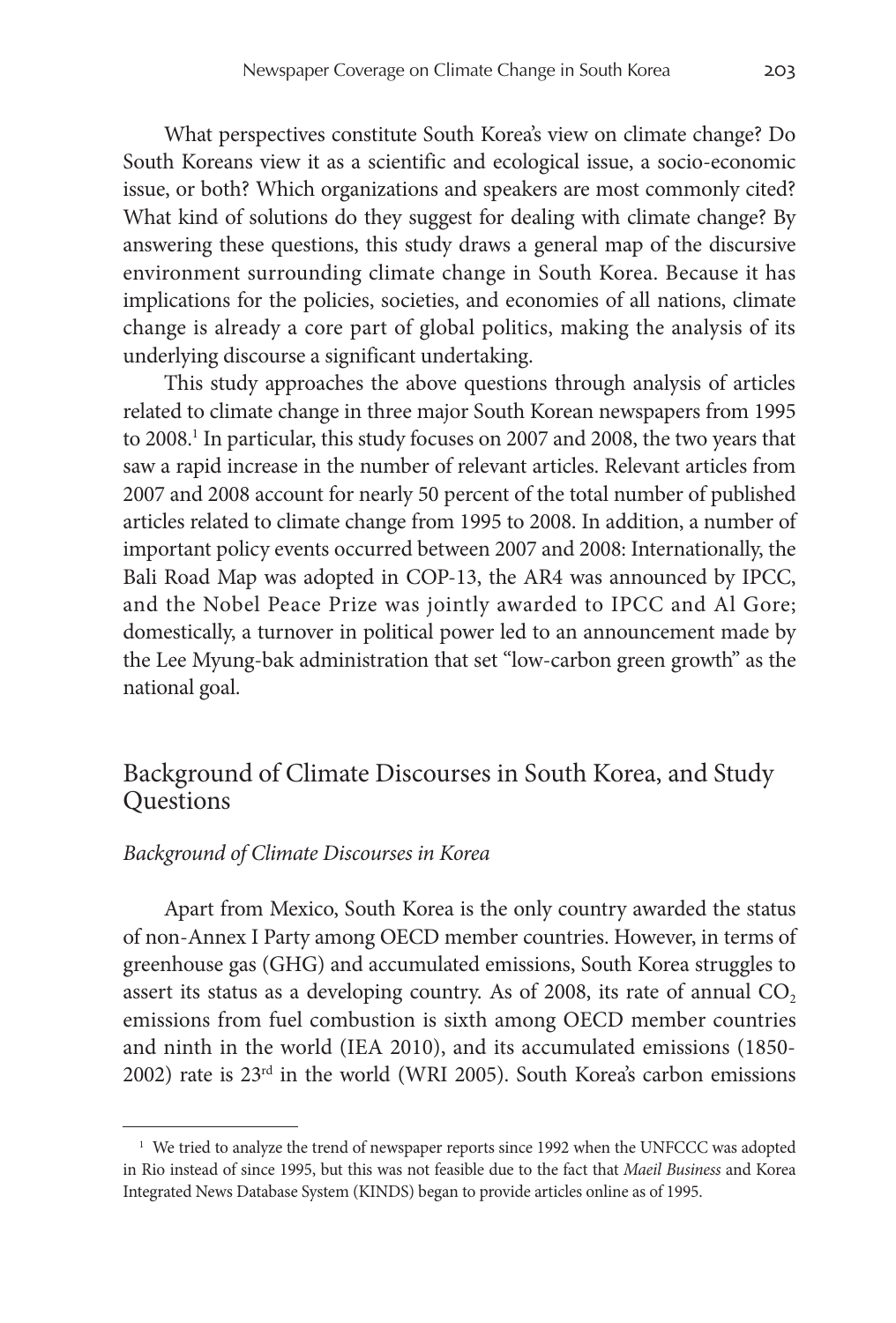What perspectives constitute South Korea's view on climate change? Do South Koreans view it as a scientific and ecological issue, a socio-economic issue, or both? Which organizations and speakers are most commonly cited? What kind of solutions do they suggest for dealing with climate change? By answering these questions, this study draws a general map of the discursive environment surrounding climate change in South Korea. Because it has implications for the policies, societies, and economies of all nations, climate change is already a core part of global politics, making the analysis of its underlying discourse a significant undertaking.

This study approaches the above questions through analysis of articles related to climate change in three major South Korean newspapers from 1995 to 2008.<sup>1</sup> In particular, this study focuses on 2007 and 2008, the two years that saw a rapid increase in the number of relevant articles. Relevant articles from 2007 and 2008 account for nearly 50 percent of the total number of published articles related to climate change from 1995 to 2008. In addition, a number of important policy events occurred between 2007 and 2008: Internationally, the Bali Road Map was adopted in COP-13, the AR4 was announced by IPCC, and the Nobel Peace Prize was jointly awarded to IPCC and Al Gore; domestically, a turnover in political power led to an announcement made by the Lee Myung-bak administration that set "low-carbon green growth" as the national goal.

# Background of Climate Discourses in South Korea, and Study Questions

#### *Background of Climate Discourses in Korea*

Apart from Mexico, South Korea is the only country awarded the status of non-Annex I Party among OECD member countries. However, in terms of greenhouse gas (GHG) and accumulated emissions, South Korea struggles to assert its status as a developing country. As of 2008, its rate of annual  $CO<sub>2</sub>$ emissions from fuel combustion is sixth among OECD member countries and ninth in the world (IEA 2010), and its accumulated emissions (1850- 2002) rate is 23rd in the world (WRI 2005). South Korea's carbon emissions

<sup>&</sup>lt;sup>1</sup> We tried to analyze the trend of newspaper reports since 1992 when the UNFCCC was adopted in Rio instead of since 1995, but this was not feasible due to the fact that *Maeil Business* and Korea Integrated News Database System (KINDS) began to provide articles online as of 1995.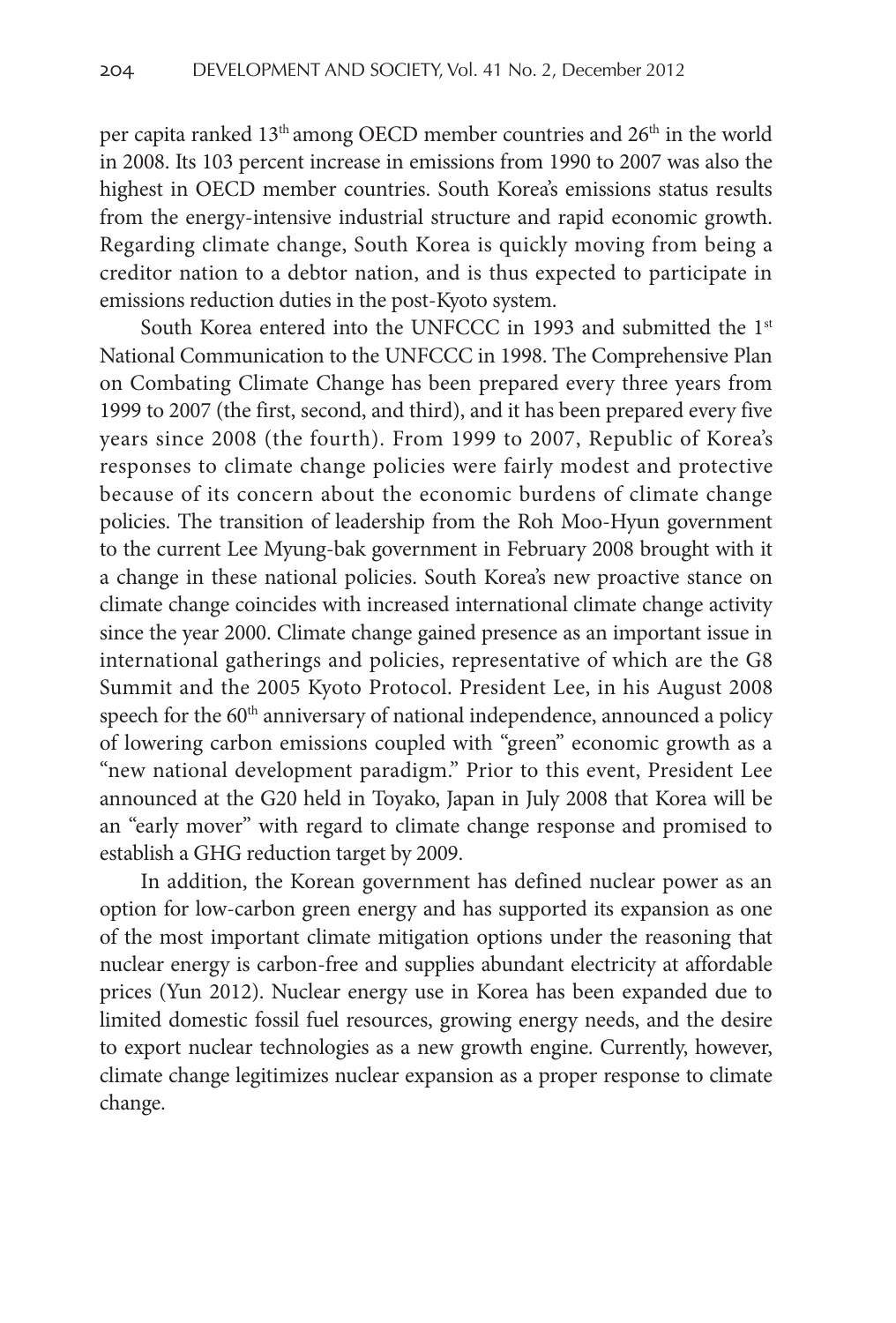per capita ranked 13<sup>th</sup> among OECD member countries and 26<sup>th</sup> in the world in 2008. Its 103 percent increase in emissions from 1990 to 2007 was also the highest in OECD member countries. South Korea's emissions status results from the energy-intensive industrial structure and rapid economic growth. Regarding climate change, South Korea is quickly moving from being a creditor nation to a debtor nation, and is thus expected to participate in emissions reduction duties in the post-Kyoto system.

South Korea entered into the UNFCCC in 1993 and submitted the 1<sup>st</sup> National Communication to the UNFCCC in 1998. The Comprehensive Plan on Combating Climate Change has been prepared every three years from 1999 to 2007 (the first, second, and third), and it has been prepared every five years since 2008 (the fourth). From 1999 to 2007, Republic of Korea's responses to climate change policies were fairly modest and protective because of its concern about the economic burdens of climate change policies. The transition of leadership from the Roh Moo-Hyun government to the current Lee Myung-bak government in February 2008 brought with it a change in these national policies. South Korea's new proactive stance on climate change coincides with increased international climate change activity since the year 2000. Climate change gained presence as an important issue in international gatherings and policies, representative of which are the G8 Summit and the 2005 Kyoto Protocol. President Lee, in his August 2008 speech for the 60<sup>th</sup> anniversary of national independence, announced a policy of lowering carbon emissions coupled with "green" economic growth as a "new national development paradigm." Prior to this event, President Lee announced at the G20 held in Toyako, Japan in July 2008 that Korea will be an "early mover" with regard to climate change response and promised to establish a GHG reduction target by 2009.

In addition, the Korean government has defined nuclear power as an option for low-carbon green energy and has supported its expansion as one of the most important climate mitigation options under the reasoning that nuclear energy is carbon-free and supplies abundant electricity at affordable prices (Yun 2012). Nuclear energy use in Korea has been expanded due to limited domestic fossil fuel resources, growing energy needs, and the desire to export nuclear technologies as a new growth engine. Currently, however, climate change legitimizes nuclear expansion as a proper response to climate change.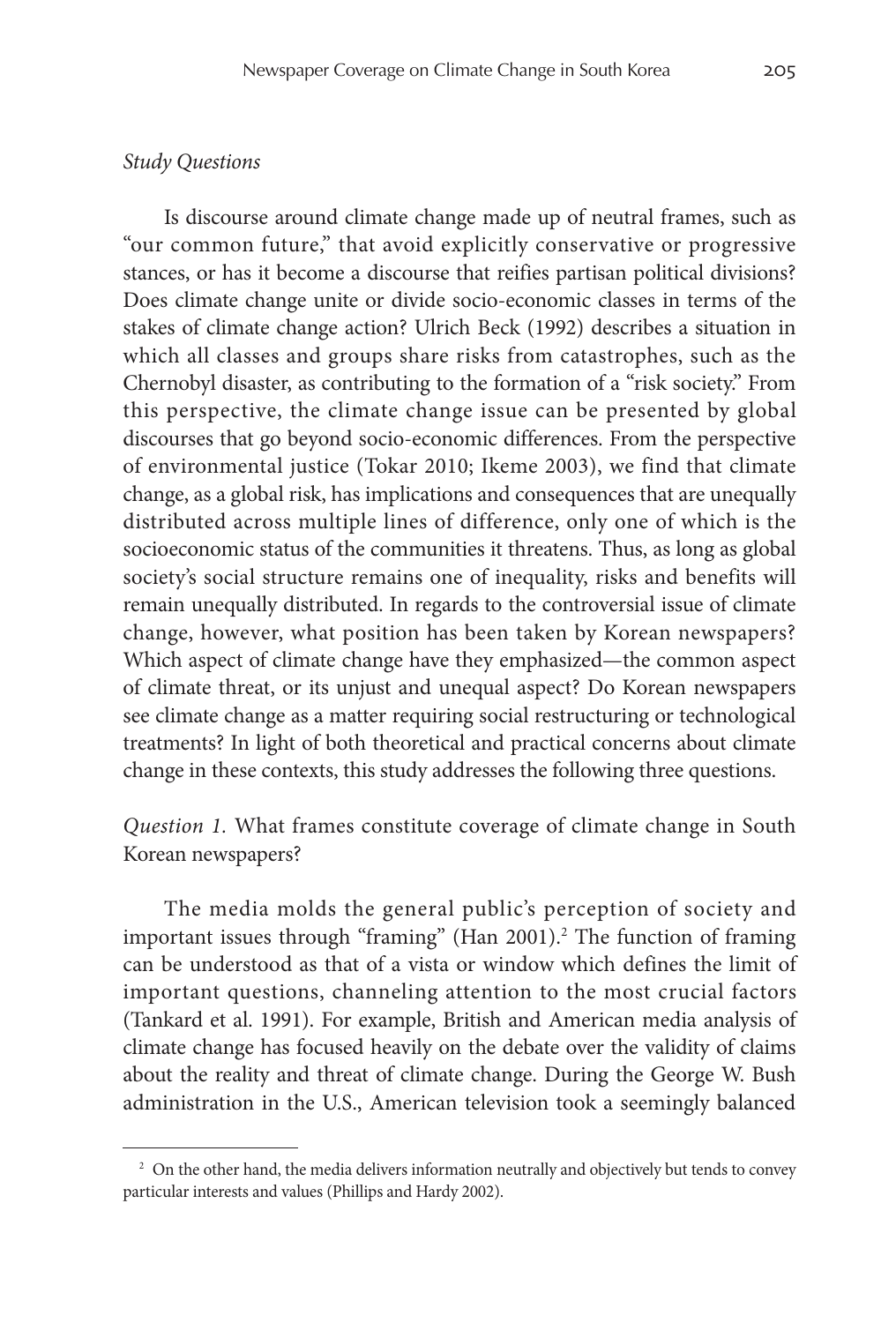### *Study Questions*

Is discourse around climate change made up of neutral frames, such as "our common future," that avoid explicitly conservative or progressive stances, or has it become a discourse that reifies partisan political divisions? Does climate change unite or divide socio-economic classes in terms of the stakes of climate change action? Ulrich Beck (1992) describes a situation in which all classes and groups share risks from catastrophes, such as the Chernobyl disaster, as contributing to the formation of a "risk society." From this perspective, the climate change issue can be presented by global discourses that go beyond socio-economic differences. From the perspective of environmental justice (Tokar 2010; Ikeme 2003), we find that climate change, as a global risk, has implications and consequences that are unequally distributed across multiple lines of difference, only one of which is the socioeconomic status of the communities it threatens. Thus, as long as global society's social structure remains one of inequality, risks and benefits will remain unequally distributed. In regards to the controversial issue of climate change, however, what position has been taken by Korean newspapers? Which aspect of climate change have they emphasized—the common aspect of climate threat, or its unjust and unequal aspect? Do Korean newspapers see climate change as a matter requiring social restructuring or technological treatments? In light of both theoretical and practical concerns about climate change in these contexts, this study addresses the following three questions.

*Question 1.* What frames constitute coverage of climate change in South Korean newspapers?

The media molds the general public's perception of society and important issues through "framing" (Han 2001).<sup>2</sup> The function of framing can be understood as that of a vista or window which defines the limit of important questions, channeling attention to the most crucial factors (Tankard et al. 1991). For example, British and American media analysis of climate change has focused heavily on the debate over the validity of claims about the reality and threat of climate change. During the George W. Bush administration in the U.S., American television took a seemingly balanced

<sup>&</sup>lt;sup>2</sup> On the other hand, the media delivers information neutrally and objectively but tends to convey particular interests and values (Phillips and Hardy 2002).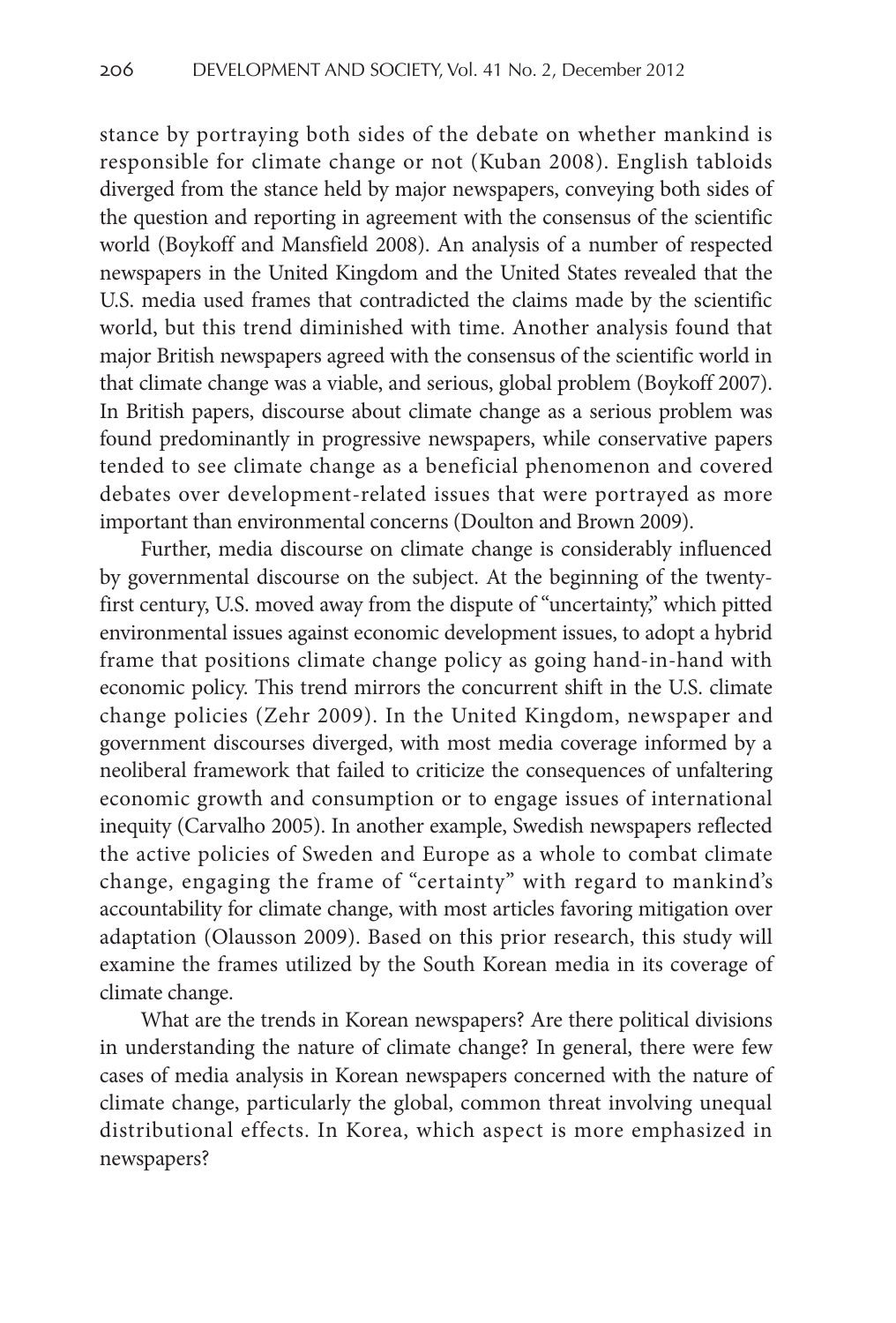stance by portraying both sides of the debate on whether mankind is responsible for climate change or not (Kuban 2008). English tabloids diverged from the stance held by major newspapers, conveying both sides of the question and reporting in agreement with the consensus of the scientific world (Boykoff and Mansfield 2008). An analysis of a number of respected newspapers in the United Kingdom and the United States revealed that the U.S. media used frames that contradicted the claims made by the scientific world, but this trend diminished with time. Another analysis found that major British newspapers agreed with the consensus of the scientific world in that climate change was a viable, and serious, global problem (Boykoff 2007). In British papers, discourse about climate change as a serious problem was found predominantly in progressive newspapers, while conservative papers tended to see climate change as a beneficial phenomenon and covered debates over development-related issues that were portrayed as more important than environmental concerns (Doulton and Brown 2009).

Further, media discourse on climate change is considerably influenced by governmental discourse on the subject. At the beginning of the twentyfirst century, U.S. moved away from the dispute of "uncertainty," which pitted environmental issues against economic development issues, to adopt a hybrid frame that positions climate change policy as going hand-in-hand with economic policy. This trend mirrors the concurrent shift in the U.S. climate change policies (Zehr 2009). In the United Kingdom, newspaper and government discourses diverged, with most media coverage informed by a neoliberal framework that failed to criticize the consequences of unfaltering economic growth and consumption or to engage issues of international inequity (Carvalho 2005). In another example, Swedish newspapers reflected the active policies of Sweden and Europe as a whole to combat climate change, engaging the frame of "certainty" with regard to mankind's accountability for climate change, with most articles favoring mitigation over adaptation (Olausson 2009). Based on this prior research, this study will examine the frames utilized by the South Korean media in its coverage of climate change.

What are the trends in Korean newspapers? Are there political divisions in understanding the nature of climate change? In general, there were few cases of media analysis in Korean newspapers concerned with the nature of climate change, particularly the global, common threat involving unequal distributional effects. In Korea, which aspect is more emphasized in newspapers?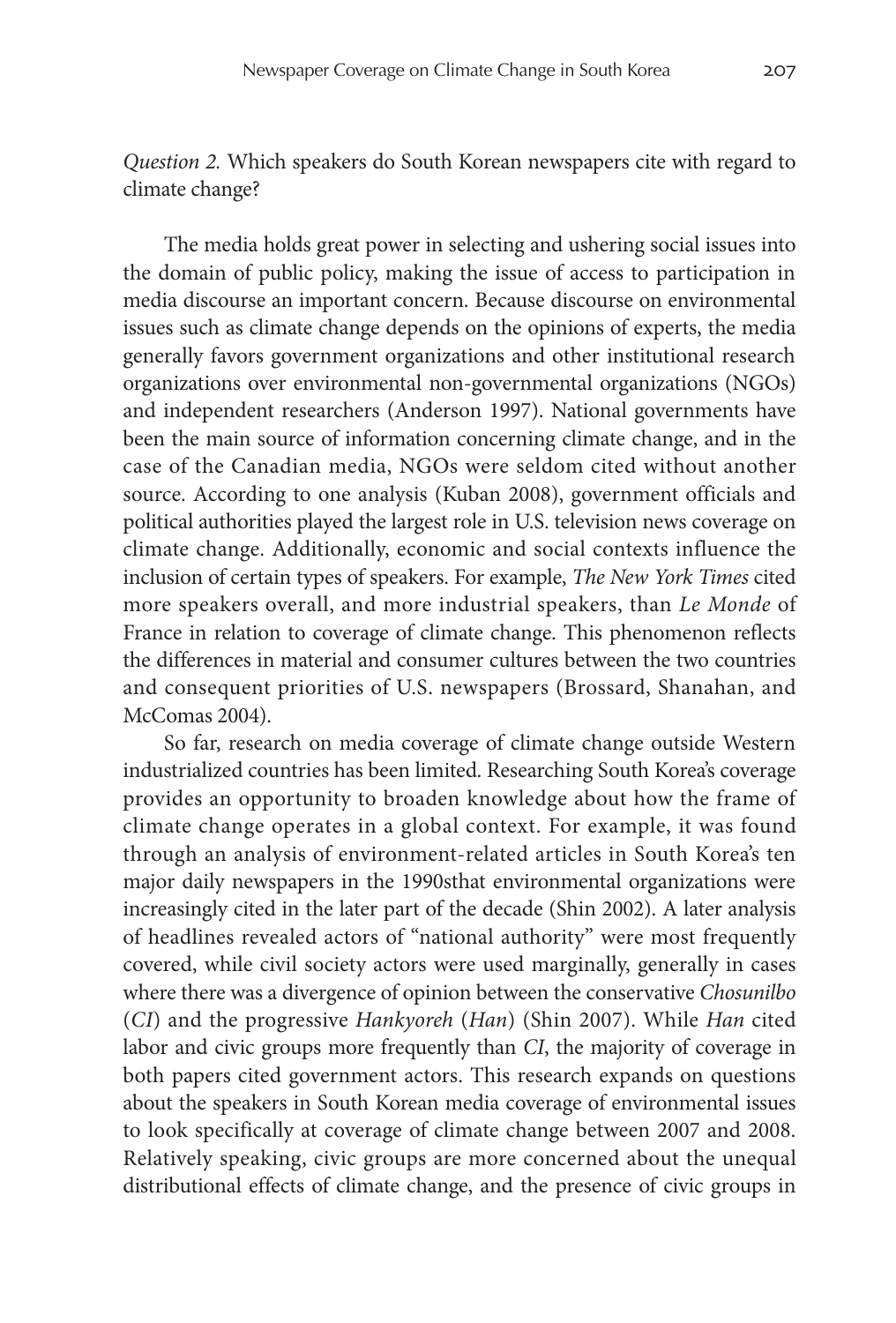*Question 2.* Which speakers do South Korean newspapers cite with regard to climate change?

The media holds great power in selecting and ushering social issues into the domain of public policy, making the issue of access to participation in media discourse an important concern. Because discourse on environmental issues such as climate change depends on the opinions of experts, the media generally favors government organizations and other institutional research organizations over environmental non-governmental organizations (NGOs) and independent researchers (Anderson 1997). National governments have been the main source of information concerning climate change, and in the case of the Canadian media, NGOs were seldom cited without another source. According to one analysis (Kuban 2008), government officials and political authorities played the largest role in U.S. television news coverage on climate change. Additionally, economic and social contexts influence the inclusion of certain types of speakers. For example, *The New York Times* cited more speakers overall, and more industrial speakers, than *Le Monde* of France in relation to coverage of climate change. This phenomenon reflects the differences in material and consumer cultures between the two countries and consequent priorities of U.S. newspapers (Brossard, Shanahan, and McComas 2004).

So far, research on media coverage of climate change outside Western industrialized countries has been limited. Researching South Korea's coverage provides an opportunity to broaden knowledge about how the frame of climate change operates in a global context. For example, it was found through an analysis of environment-related articles in South Korea's ten major daily newspapers in the 1990sthat environmental organizations were increasingly cited in the later part of the decade (Shin 2002). A later analysis of headlines revealed actors of "national authority" were most frequently covered, while civil society actors were used marginally, generally in cases where there was a divergence of opinion between the conservative *Chosunilbo* (*CI*) and the progressive *Hankyoreh* (*Han*) (Shin 2007). While *Han* cited labor and civic groups more frequently than *CI*, the majority of coverage in both papers cited government actors. This research expands on questions about the speakers in South Korean media coverage of environmental issues to look specifically at coverage of climate change between 2007 and 2008. Relatively speaking, civic groups are more concerned about the unequal distributional effects of climate change, and the presence of civic groups in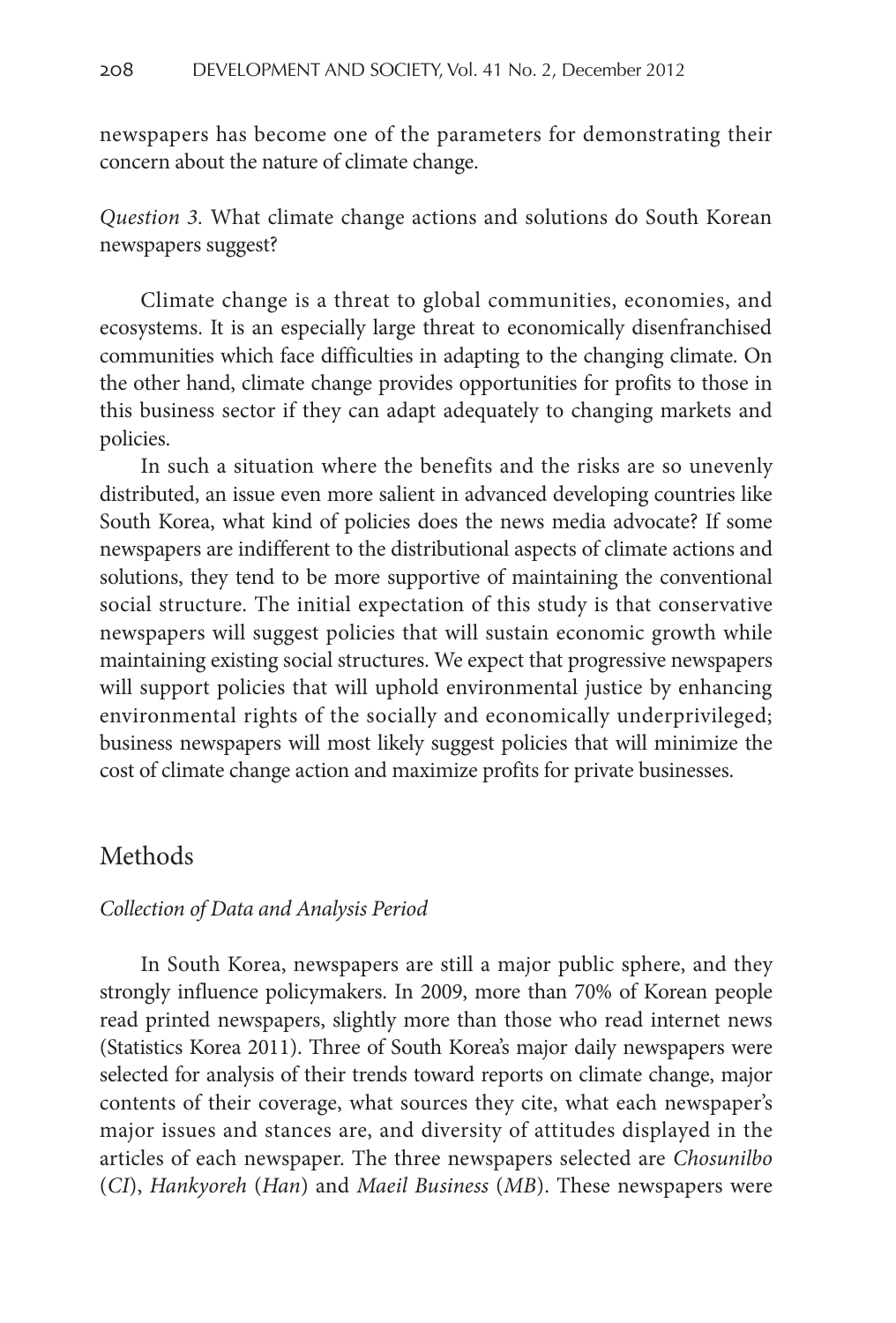newspapers has become one of the parameters for demonstrating their concern about the nature of climate change.

*Question 3.* What climate change actions and solutions do South Korean newspapers suggest?

Climate change is a threat to global communities, economies, and ecosystems. It is an especially large threat to economically disenfranchised communities which face difficulties in adapting to the changing climate. On the other hand, climate change provides opportunities for profits to those in this business sector if they can adapt adequately to changing markets and policies.

In such a situation where the benefits and the risks are so unevenly distributed, an issue even more salient in advanced developing countries like South Korea, what kind of policies does the news media advocate? If some newspapers are indifferent to the distributional aspects of climate actions and solutions, they tend to be more supportive of maintaining the conventional social structure. The initial expectation of this study is that conservative newspapers will suggest policies that will sustain economic growth while maintaining existing social structures. We expect that progressive newspapers will support policies that will uphold environmental justice by enhancing environmental rights of the socially and economically underprivileged; business newspapers will most likely suggest policies that will minimize the cost of climate change action and maximize profits for private businesses.

### Methods

#### *Collection of Data and Analysis Period*

In South Korea, newspapers are still a major public sphere, and they strongly influence policymakers. In 2009, more than 70% of Korean people read printed newspapers, slightly more than those who read internet news (Statistics Korea 2011). Three of South Korea's major daily newspapers were selected for analysis of their trends toward reports on climate change, major contents of their coverage, what sources they cite, what each newspaper's major issues and stances are, and diversity of attitudes displayed in the articles of each newspaper. The three newspapers selected are *Chosunilbo* (*CI*), *Hankyoreh* (*Han*) and *Maeil Business* (*MB*). These newspapers were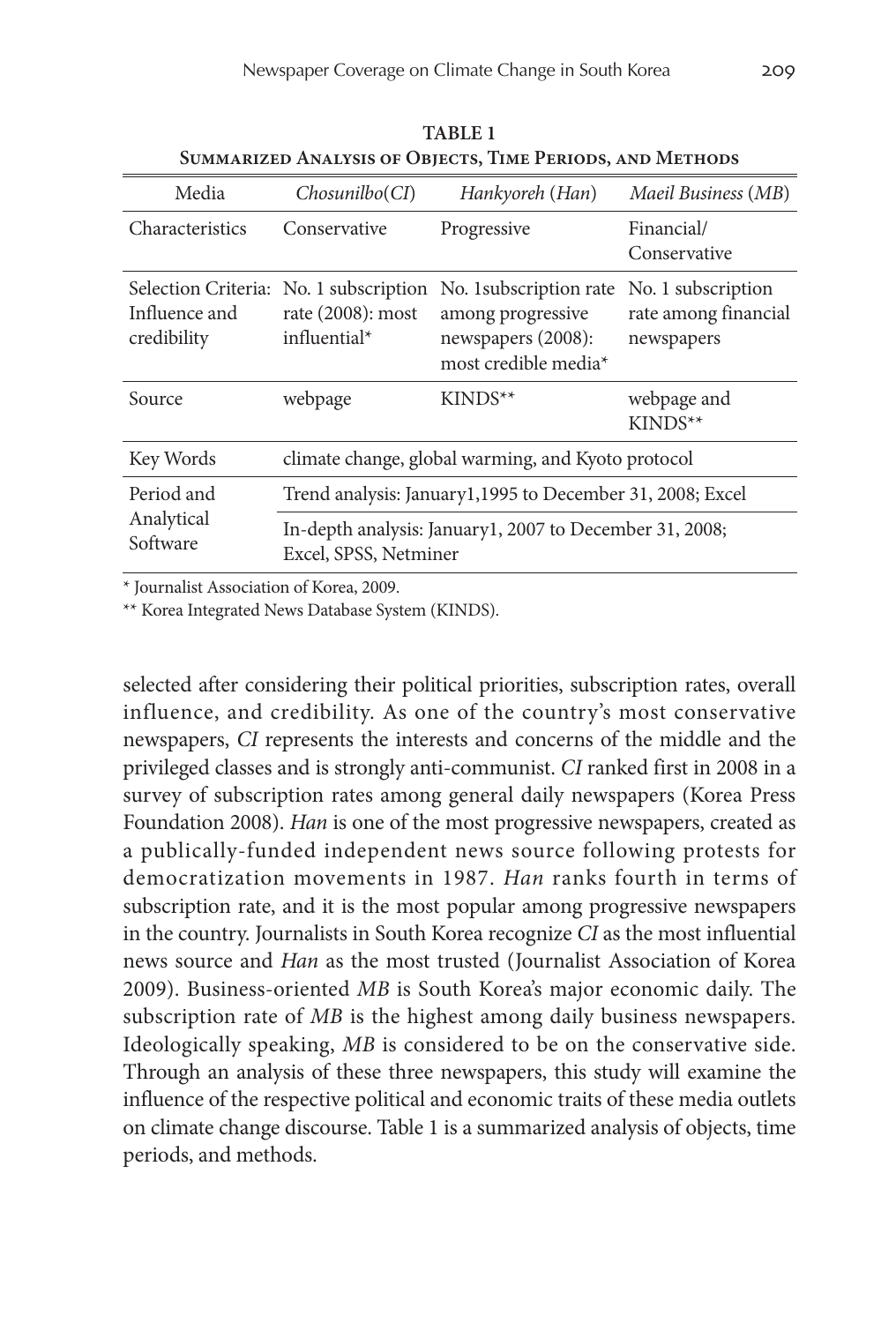| Media                                | Chosunilbo(Cl)                                                                   | Hankyoreh (Han)                                                                            | Maeil Business (MB)                                      |  |  |  |  |
|--------------------------------------|----------------------------------------------------------------------------------|--------------------------------------------------------------------------------------------|----------------------------------------------------------|--|--|--|--|
| Characteristics                      | Conservative                                                                     | Progressive                                                                                | Financial/<br>Conservative                               |  |  |  |  |
| Influence and<br>credibility         | Selection Criteria: No. 1 subscription<br>rate $(2008)$ : most<br>influential*   | No. 1 subscription rate<br>among progressive<br>newspapers (2008):<br>most credible media* | No. 1 subscription<br>rate among financial<br>newspapers |  |  |  |  |
| Source                               | webpage                                                                          | $KINDS^{**}$                                                                               | webpage and<br>$KINDS^{**}$                              |  |  |  |  |
| Key Words                            | climate change, global warming, and Kyoto protocol                               |                                                                                            |                                                          |  |  |  |  |
| Period and<br>Analytical<br>Software | Trend analysis: January1,1995 to December 31, 2008; Excel                        |                                                                                            |                                                          |  |  |  |  |
|                                      | In-depth analysis: January1, 2007 to December 31, 2008;<br>Excel, SPSS, Netminer |                                                                                            |                                                          |  |  |  |  |

**Table 1 Summarized Analysis of Objects, Time Periods, and Methods**

\* Journalist Association of Korea, 2009.

\*\* Korea Integrated News Database System (KINDS).

selected after considering their political priorities, subscription rates, overall influence, and credibility. As one of the country's most conservative newspapers, *CI* represents the interests and concerns of the middle and the privileged classes and is strongly anti-communist. *CI* ranked first in 2008 in a survey of subscription rates among general daily newspapers (Korea Press Foundation 2008). *Han* is one of the most progressive newspapers, created as a publically-funded independent news source following protests for democratization movements in 1987. *Han* ranks fourth in terms of subscription rate, and it is the most popular among progressive newspapers in the country. Journalists in South Korea recognize *CI* as the most influential news source and *Han* as the most trusted (Journalist Association of Korea 2009). Business-oriented *MB* is South Korea's major economic daily. The subscription rate of *MB* is the highest among daily business newspapers. Ideologically speaking, *MB* is considered to be on the conservative side. Through an analysis of these three newspapers, this study will examine the influence of the respective political and economic traits of these media outlets on climate change discourse. Table 1 is a summarized analysis of objects, time periods, and methods.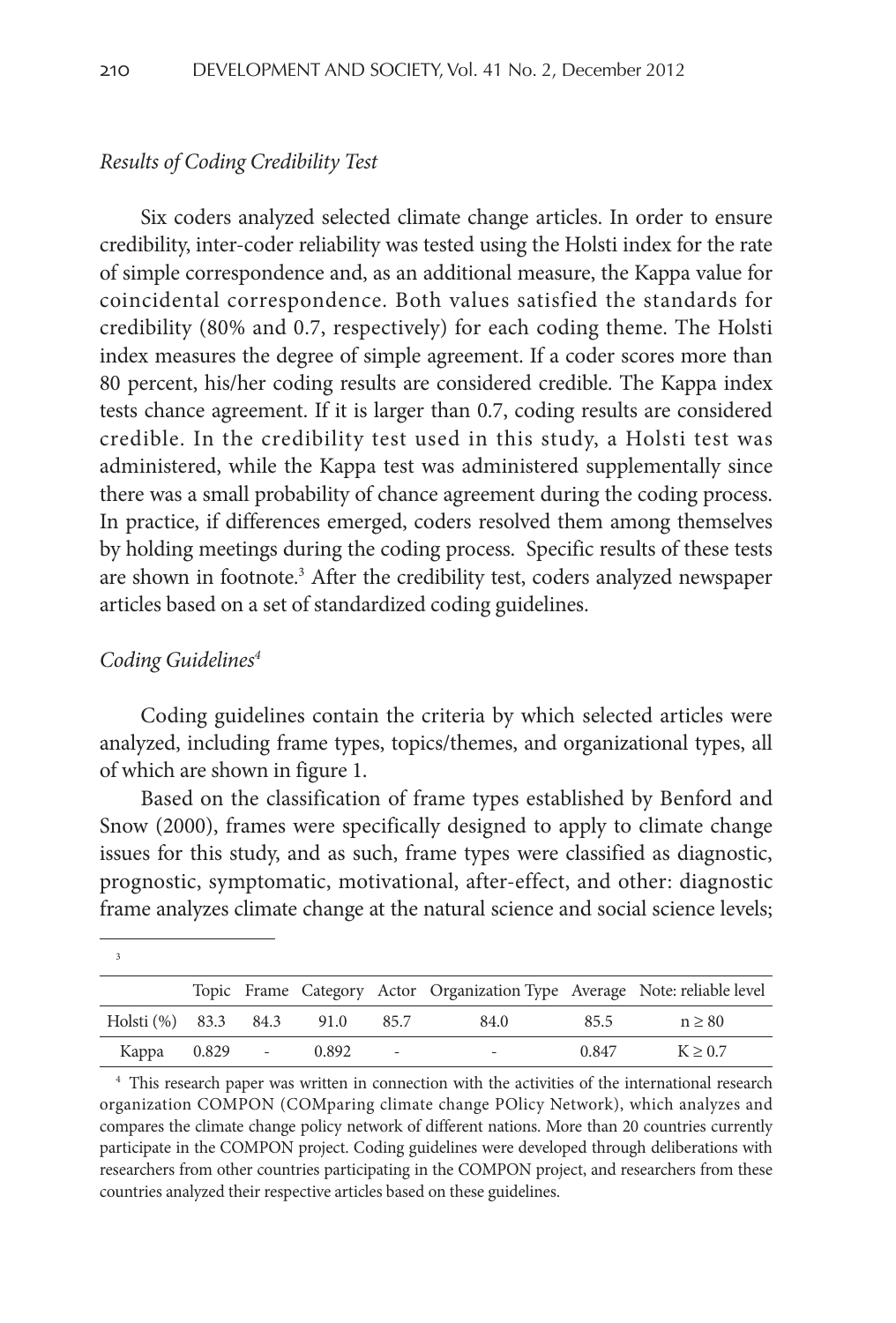#### *Results of Coding Credibility Test*

Six coders analyzed selected climate change articles. In order to ensure credibility, inter-coder reliability was tested using the Holsti index for the rate of simple correspondence and, as an additional measure, the Kappa value for coincidental correspondence. Both values satisfied the standards for credibility (80% and 0.7, respectively) for each coding theme. The Holsti index measures the degree of simple agreement. If a coder scores more than 80 percent, his/her coding results are considered credible. The Kappa index tests chance agreement. If it is larger than 0.7, coding results are considered credible. In the credibility test used in this study, a Holsti test was administered, while the Kappa test was administered supplementally since there was a small probability of chance agreement during the coding process. In practice, if differences emerged, coders resolved them among themselves by holding meetings during the coding process. Specific results of these tests are shown in footnote.3 After the credibility test, coders analyzed newspaper articles based on a set of standardized coding guidelines.

#### *Coding Guidelines4*

Coding guidelines contain the criteria by which selected articles were analyzed, including frame types, topics/themes, and organizational types, all of which are shown in figure 1.

Based on the classification of frame types established by Benford and Snow (2000), frames were specifically designed to apply to climate change issues for this study, and as such, frame types were classified as diagnostic, prognostic, symptomatic, motivational, after-effect, and other: diagnostic frame analyzes climate change at the natural science and social science levels;

|                                |  |                          | Topic Frame Category Actor Organization Type Average Note: reliable level |       |              |
|--------------------------------|--|--------------------------|---------------------------------------------------------------------------|-------|--------------|
| Holsti (%) 83.3 84.3 91.0 85.7 |  |                          | 84.0                                                                      | 85.5  | $n \geq 80$  |
| Kappa 0.829 - 0.892            |  | $\overline{\phantom{0}}$ |                                                                           | 0.847 | $K \geq 0.7$ |

<sup>&</sup>lt;sup>4</sup> This research paper was written in connection with the activities of the international research organization COMPON (COMparing climate change POlicy Network), which analyzes and compares the climate change policy network of different nations. More than 20 countries currently participate in the COMPON project. Coding guidelines were developed through deliberations with researchers from other countries participating in the COMPON project, and researchers from these countries analyzed their respective articles based on these guidelines.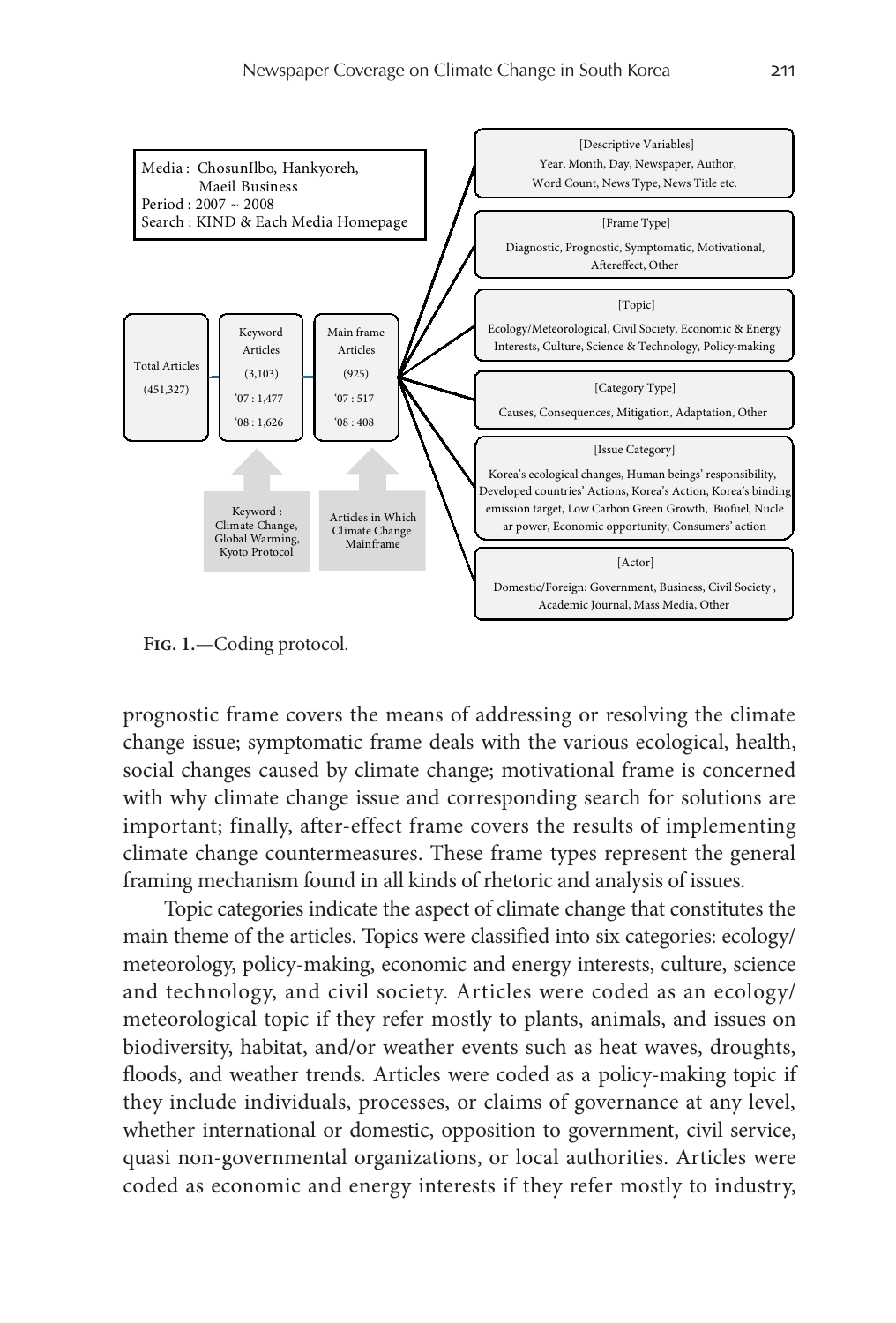

**Fig. 1.**—Coding protocol.

prognostic frame covers the means of addressing or resolving the climate change issue; symptomatic frame deals with the various ecological, health, social changes caused by climate change; motivational frame is concerned with why climate change issue and corresponding search for solutions are important; finally, after-effect frame covers the results of implementing climate change countermeasures. These frame types represent the general framing mechanism found in all kinds of rhetoric and analysis of issues.

Topic categories indicate the aspect of climate change that constitutes the main theme of the articles. Topics were classified into six categories: ecology/ meteorology, policy-making, economic and energy interests, culture, science and technology, and civil society. Articles were coded as an ecology/ meteorological topic if they refer mostly to plants, animals, and issues on biodiversity, habitat, and/or weather events such as heat waves, droughts, floods, and weather trends. Articles were coded as a policy-making topic if they include individuals, processes, or claims of governance at any level, whether international or domestic, opposition to government, civil service, quasi non-governmental organizations, or local authorities. Articles were coded as economic and energy interests if they refer mostly to industry,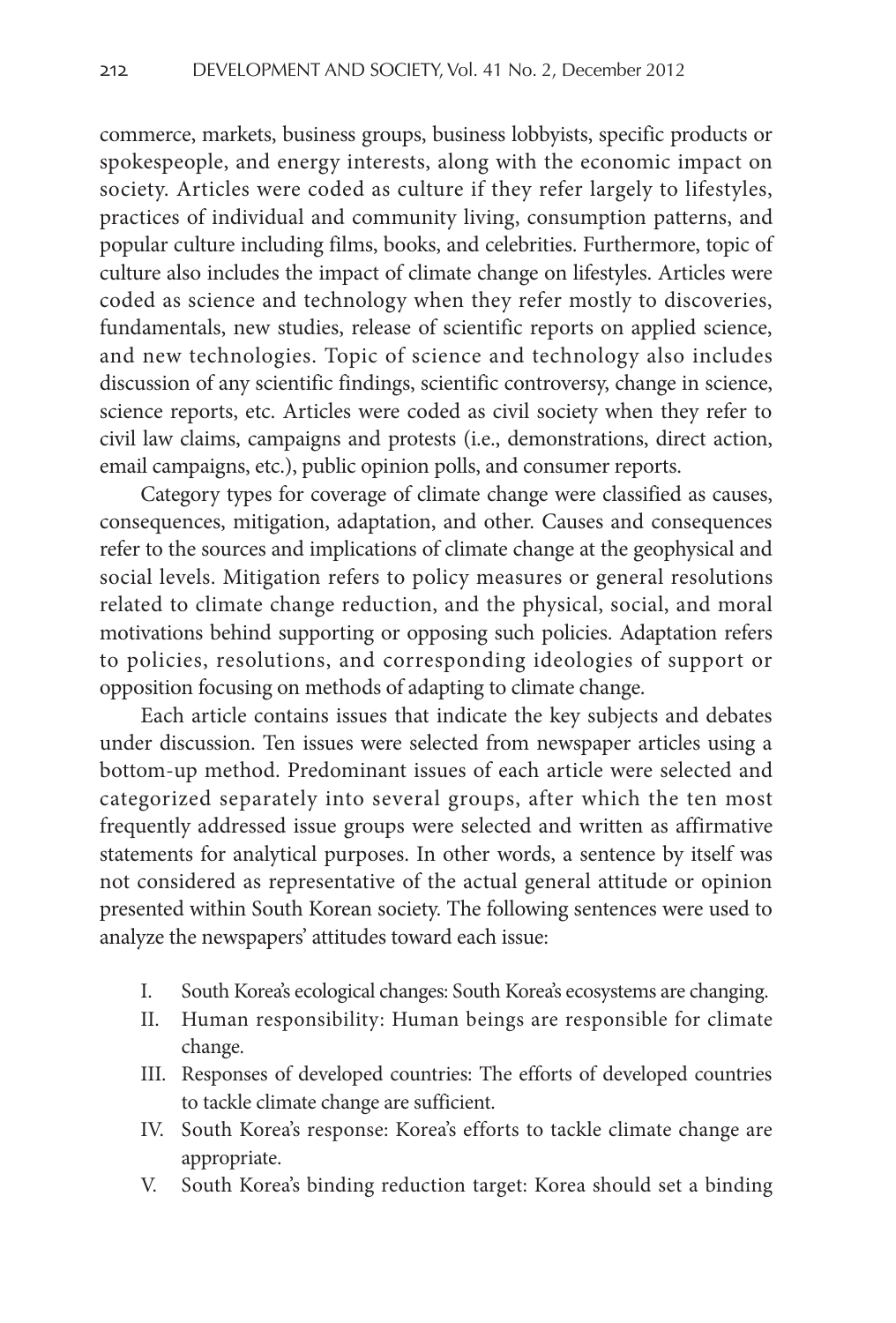commerce, markets, business groups, business lobbyists, specific products or spokespeople, and energy interests, along with the economic impact on society. Articles were coded as culture if they refer largely to lifestyles, practices of individual and community living, consumption patterns, and popular culture including films, books, and celebrities. Furthermore, topic of culture also includes the impact of climate change on lifestyles. Articles were coded as science and technology when they refer mostly to discoveries, fundamentals, new studies, release of scientific reports on applied science, and new technologies. Topic of science and technology also includes discussion of any scientific findings, scientific controversy, change in science, science reports, etc. Articles were coded as civil society when they refer to civil law claims, campaigns and protests (i.e., demonstrations, direct action, email campaigns, etc.), public opinion polls, and consumer reports.

Category types for coverage of climate change were classified as causes, consequences, mitigation, adaptation, and other. Causes and consequences refer to the sources and implications of climate change at the geophysical and social levels. Mitigation refers to policy measures or general resolutions related to climate change reduction, and the physical, social, and moral motivations behind supporting or opposing such policies. Adaptation refers to policies, resolutions, and corresponding ideologies of support or opposition focusing on methods of adapting to climate change.

Each article contains issues that indicate the key subjects and debates under discussion. Ten issues were selected from newspaper articles using a bottom-up method. Predominant issues of each article were selected and categorized separately into several groups, after which the ten most frequently addressed issue groups were selected and written as affirmative statements for analytical purposes. In other words, a sentence by itself was not considered as representative of the actual general attitude or opinion presented within South Korean society. The following sentences were used to analyze the newspapers' attitudes toward each issue:

- I. South Korea's ecological changes: South Korea's ecosystems are changing.
- II. Human responsibility: Human beings are responsible for climate change.
- III. Responses of developed countries: The efforts of developed countries to tackle climate change are sufficient.
- IV. South Korea's response: Korea's efforts to tackle climate change are appropriate.
- V. South Korea's binding reduction target: Korea should set a binding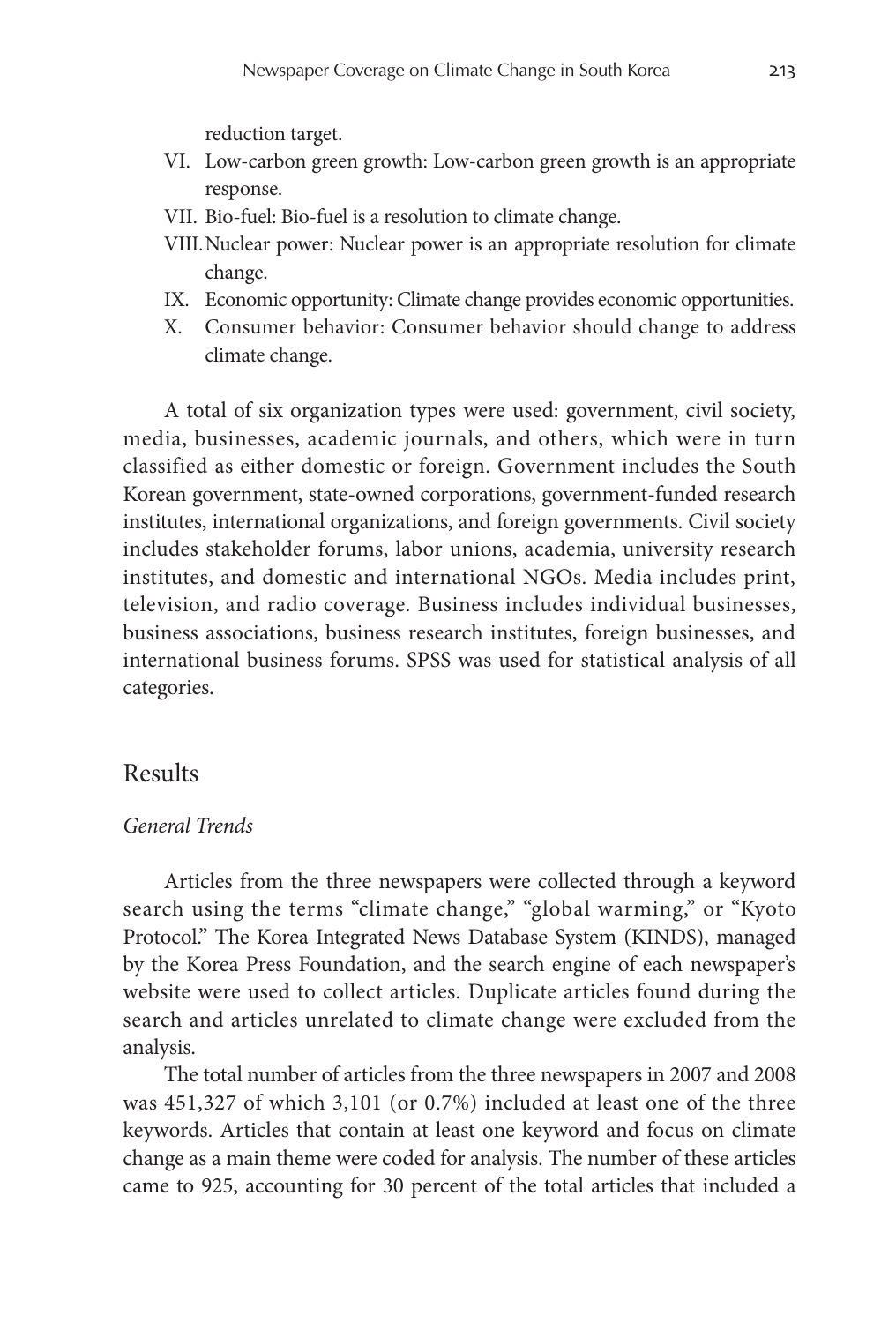reduction target.

- VI. Low-carbon green growth: Low-carbon green growth is an appropriate response.
- VII. Bio-fuel: Bio-fuel is a resolution to climate change.
- VIII.Nuclear power: Nuclear power is an appropriate resolution for climate change.
- IX. Economic opportunity: Climate change provides economic opportunities.
- X. Consumer behavior: Consumer behavior should change to address climate change.

A total of six organization types were used: government, civil society, media, businesses, academic journals, and others, which were in turn classified as either domestic or foreign. Government includes the South Korean government, state-owned corporations, government-funded research institutes, international organizations, and foreign governments. Civil society includes stakeholder forums, labor unions, academia, university research institutes, and domestic and international NGOs. Media includes print, television, and radio coverage. Business includes individual businesses, business associations, business research institutes, foreign businesses, and international business forums. SPSS was used for statistical analysis of all categories.

### Results

### *General Trends*

Articles from the three newspapers were collected through a keyword search using the terms "climate change," "global warming," or "Kyoto Protocol." The Korea Integrated News Database System (KINDS), managed by the Korea Press Foundation, and the search engine of each newspaper's website were used to collect articles. Duplicate articles found during the search and articles unrelated to climate change were excluded from the analysis.

The total number of articles from the three newspapers in 2007 and 2008 was 451,327 of which 3,101 (or 0.7%) included at least one of the three keywords. Articles that contain at least one keyword and focus on climate change as a main theme were coded for analysis. The number of these articles came to 925, accounting for 30 percent of the total articles that included a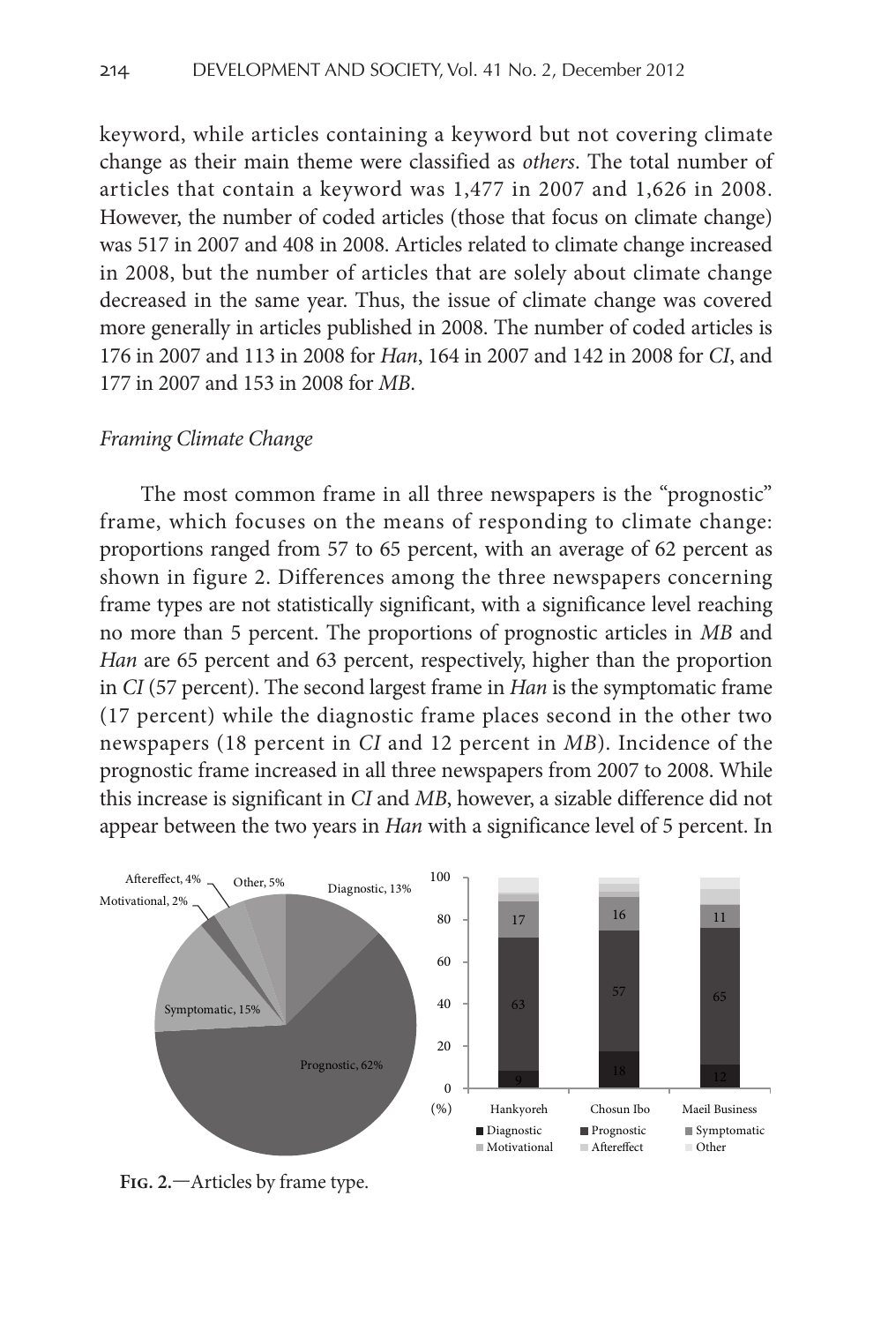keyword, while articles containing a keyword but not covering climate change as their main theme were classified as *others*. The total number of articles that contain a keyword was 1,477 in 2007 and 1,626 in 2008. However, the number of coded articles (those that focus on climate change) was 517 in 2007 and 408 in 2008. Articles related to climate change increased in 2008, but the number of articles that are solely about climate change decreased in the same year. Thus, the issue of climate change was covered more generally in articles published in 2008. The number of coded articles is 176 in 2007 and 113 in 2008 for *Han*, 164 in 2007 and 142 in 2008 for *CI*, and 177 in 2007 and 153 in 2008 for *MB*.

### *Framing Climate Change*

The most common frame in all three newspapers is the "prognostic" frame, which focuses on the means of responding to climate change: proportions ranged from 57 to 65 percent, with an average of 62 percent as shown in figure 2. Differences among the three newspapers concerning frame types are not statistically significant, with a significance level reaching no more than 5 percent. The proportions of prognostic articles in *MB* and *Han* are 65 percent and 63 percent, respectively, higher than the proportion in *CI* (57 percent). The second largest frame in *Han* is the symptomatic frame (17 percent) while the diagnostic frame places second in the other two newspapers (18 percent in *CI* and 12 percent in *MB*). Incidence of the prognostic frame increased in all three newspapers from 2007 to 2008. While this increase is significant in *CI* and *MB*, however, a sizable difference did not appear between the two years in *Han* with a significance level of 5 percent. In



**Fig. 2.**—Articles by frame type.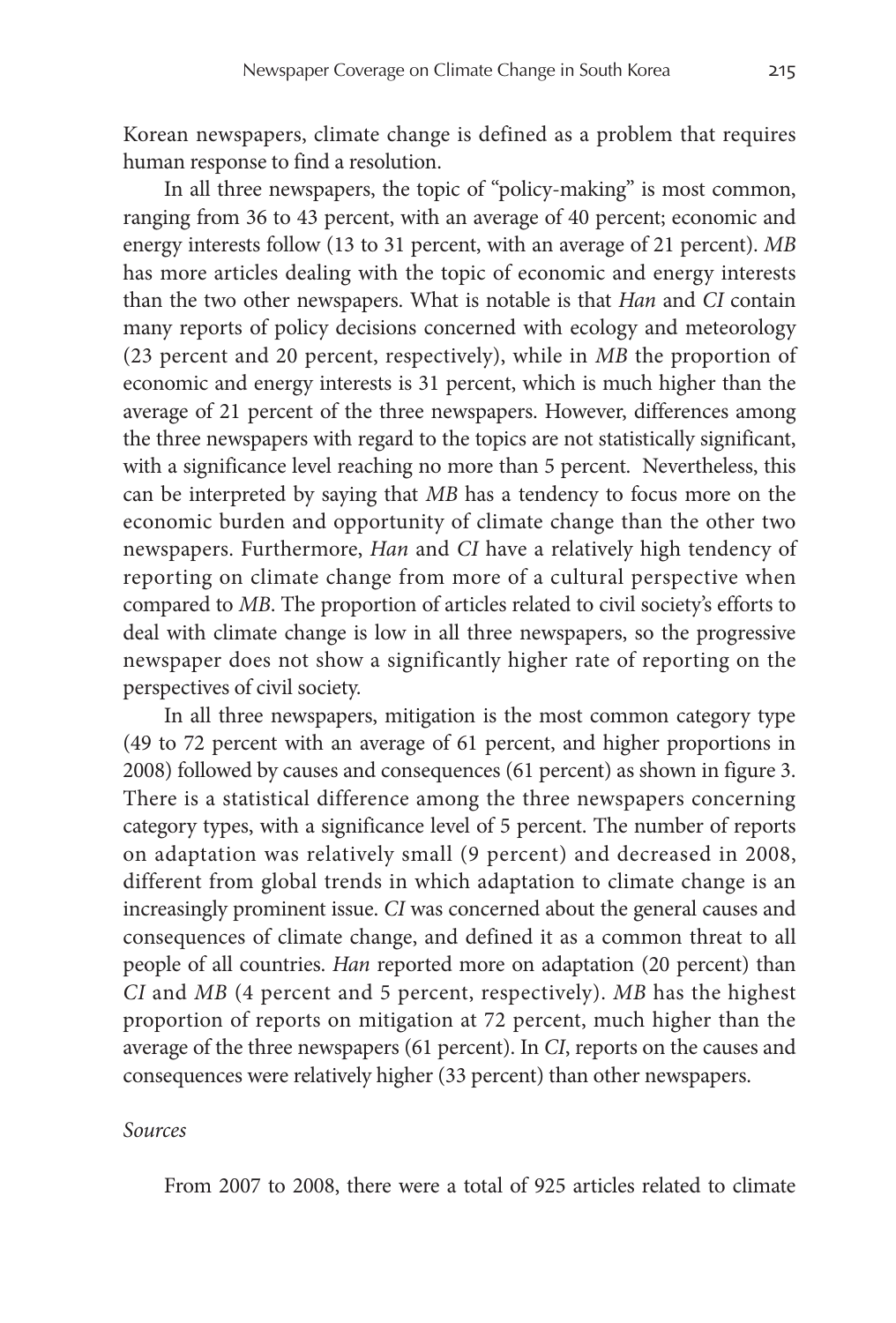Korean newspapers, climate change is defined as a problem that requires human response to find a resolution.

In all three newspapers, the topic of "policy-making" is most common, ranging from 36 to 43 percent, with an average of 40 percent; economic and energy interests follow (13 to 31 percent, with an average of 21 percent). *MB* has more articles dealing with the topic of economic and energy interests than the two other newspapers. What is notable is that *Han* and *CI* contain many reports of policy decisions concerned with ecology and meteorology (23 percent and 20 percent, respectively), while in *MB* the proportion of economic and energy interests is 31 percent, which is much higher than the average of 21 percent of the three newspapers. However, differences among the three newspapers with regard to the topics are not statistically significant, with a significance level reaching no more than 5 percent. Nevertheless, this can be interpreted by saying that *MB* has a tendency to focus more on the economic burden and opportunity of climate change than the other two newspapers. Furthermore, *Han* and *CI* have a relatively high tendency of reporting on climate change from more of a cultural perspective when compared to *MB*. The proportion of articles related to civil society's efforts to deal with climate change is low in all three newspapers, so the progressive newspaper does not show a significantly higher rate of reporting on the perspectives of civil society.

In all three newspapers, mitigation is the most common category type (49 to 72 percent with an average of 61 percent, and higher proportions in 2008) followed by causes and consequences (61 percent) as shown in figure 3. There is a statistical difference among the three newspapers concerning category types, with a significance level of 5 percent. The number of reports on adaptation was relatively small (9 percent) and decreased in 2008, different from global trends in which adaptation to climate change is an increasingly prominent issue. *CI* was concerned about the general causes and consequences of climate change, and defined it as a common threat to all people of all countries. *Han* reported more on adaptation (20 percent) than *CI* and *MB* (4 percent and 5 percent, respectively). *MB* has the highest proportion of reports on mitigation at 72 percent, much higher than the average of the three newspapers (61 percent). In *CI*, reports on the causes and consequences were relatively higher (33 percent) than other newspapers.

#### *Sources*

From 2007 to 2008, there were a total of 925 articles related to climate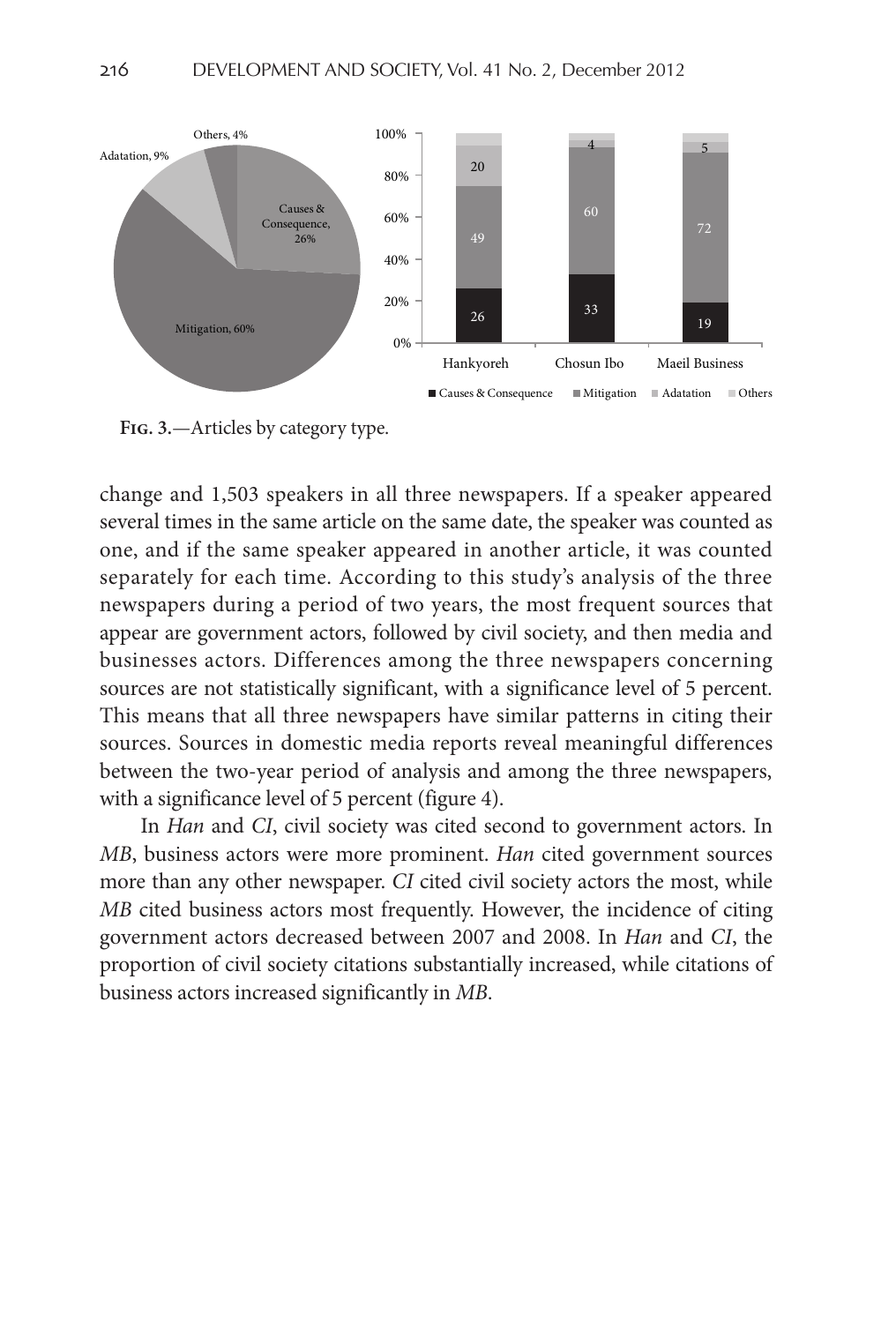

**Fig. 3.**—Articles by category type.

change and 1,503 speakers in all three newspapers. If a speaker appeared several times in the same article on the same date, the speaker was counted as one, and if the same speaker appeared in another article, it was counted separately for each time. According to this study's analysis of the three newspapers during a period of two years, the most frequent sources that appear are government actors, followed by civil society, and then media and businesses actors. Differences among the three newspapers concerning sources are not statistically significant, with a significance level of 5 percent. This means that all three newspapers have similar patterns in citing their sources. Sources in domestic media reports reveal meaningful differences between the two-year period of analysis and among the three newspapers, with a significance level of 5 percent (figure 4).

In *Han* and *CI*, civil society was cited second to government actors. In *MB*, business actors were more prominent. *Han* cited government sources more than any other newspaper. *CI* cited civil society actors the most, while *MB* cited business actors most frequently. However, the incidence of citing government actors decreased between 2007 and 2008. In *Han* and *CI*, the proportion of civil society citations substantially increased, while citations of business actors increased significantly in *MB*.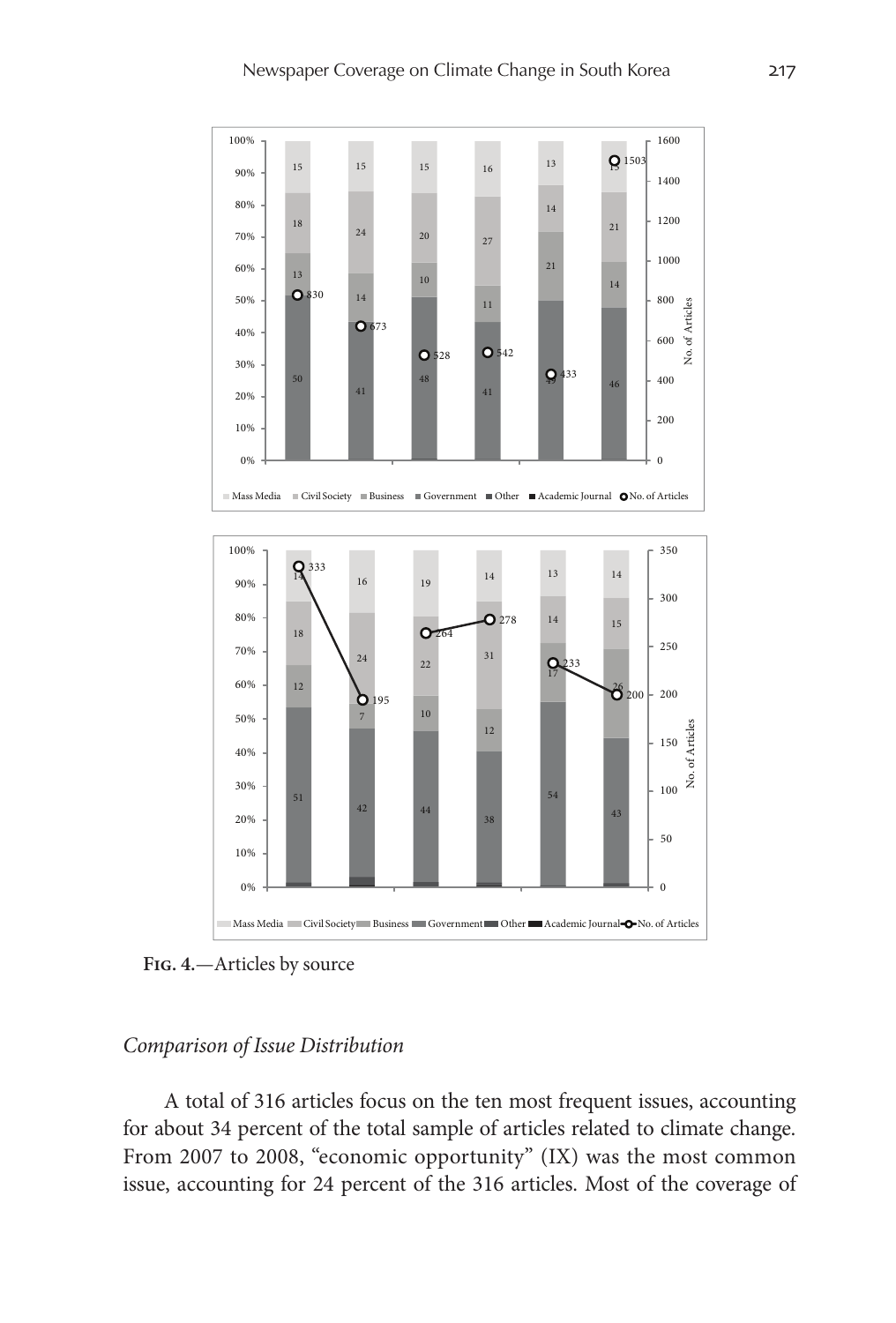

**Fig. 4.**—Articles by source

### *Comparison of Issue Distribution*

A total of 316 articles focus on the ten most frequent issues, accounting for about 34 percent of the total sample of articles related to climate change. From 2007 to 2008, "economic opportunity" (IX) was the most common issue, accounting for 24 percent of the 316 articles. Most of the coverage of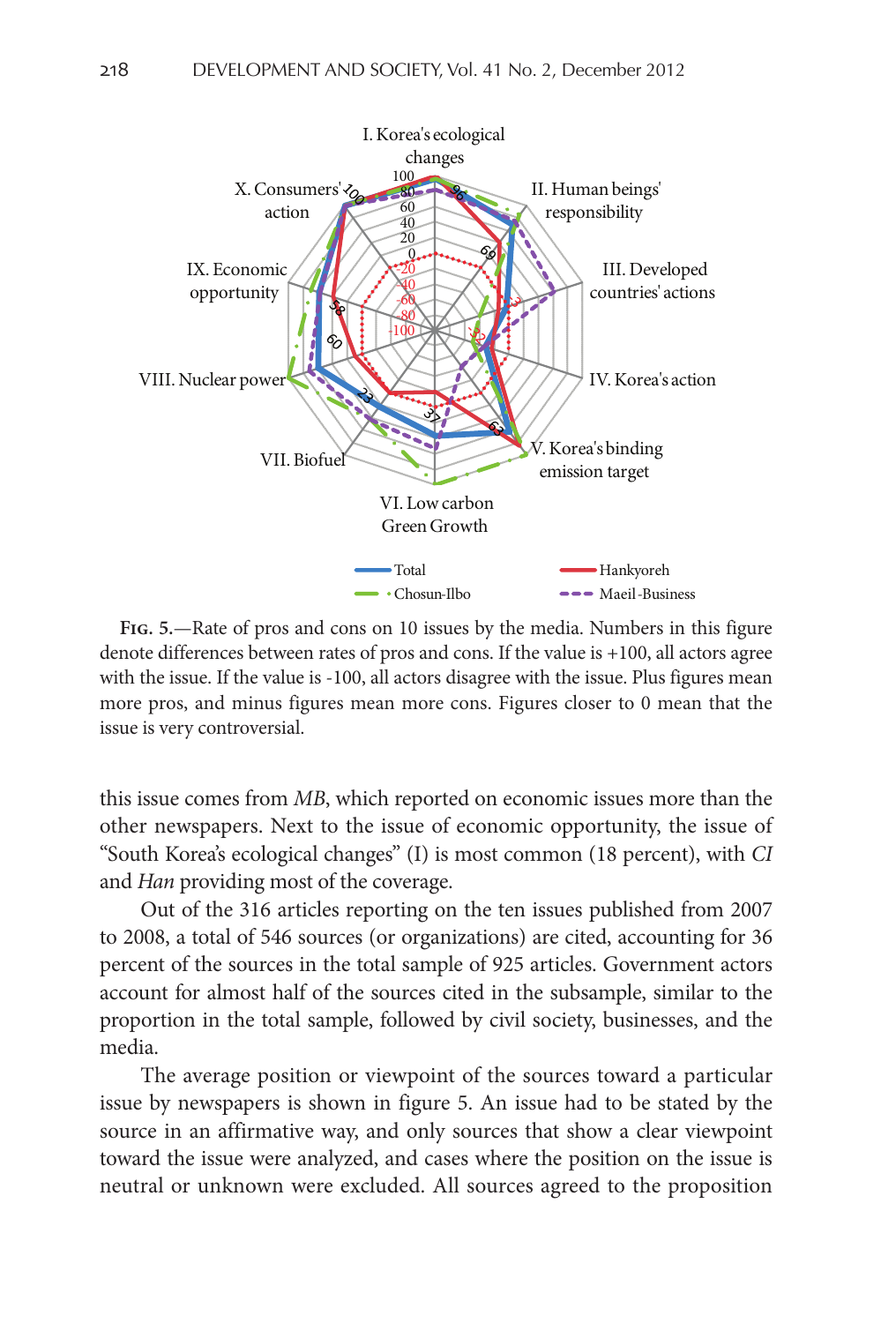

**Fig. 5.**—Rate of pros and cons on 10 issues by the media. Numbers in this figure denote differences between rates of pros and cons. If the value is +100, all actors agree with the issue. If the value is -100, all actors disagree with the issue. Plus figures mean more pros, and minus figures mean more cons. Figures closer to 0 mean that the issue is very controversial.

this issue comes from *MB*, which reported on economic issues more than the other newspapers. Next to the issue of economic opportunity, the issue of "South Korea's ecological changes" (I) is most common (18 percent), with *CI* and *Han* providing most of the coverage.

Out of the 316 articles reporting on the ten issues published from 2007 to 2008, a total of 546 sources (or organizations) are cited, accounting for 36 percent of the sources in the total sample of 925 articles. Government actors account for almost half of the sources cited in the subsample, similar to the proportion in the total sample, followed by civil society, businesses, and the media.

The average position or viewpoint of the sources toward a particular issue by newspapers is shown in figure 5. An issue had to be stated by the source in an affirmative way, and only sources that show a clear viewpoint toward the issue were analyzed, and cases where the position on the issue is neutral or unknown were excluded. All sources agreed to the proposition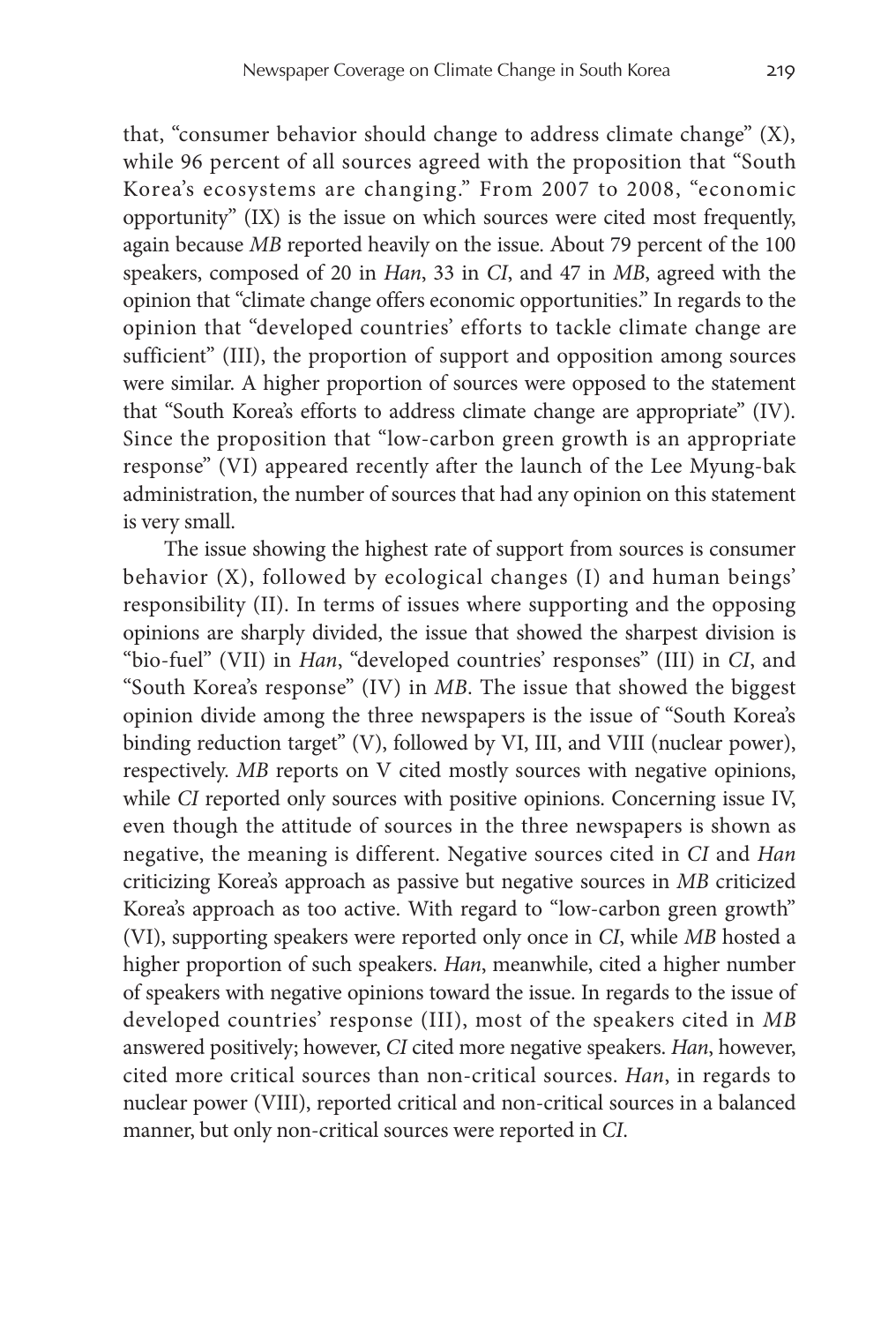that, "consumer behavior should change to address climate change" (X), while 96 percent of all sources agreed with the proposition that "South Korea's ecosystems are changing." From 2007 to 2008, "economic opportunity" (IX) is the issue on which sources were cited most frequently, again because *MB* reported heavily on the issue. About 79 percent of the 100 speakers, composed of 20 in *Han*, 33 in *CI*, and 47 in *MB*, agreed with the opinion that "climate change offers economic opportunities." In regards to the opinion that "developed countries' efforts to tackle climate change are sufficient" (III), the proportion of support and opposition among sources were similar. A higher proportion of sources were opposed to the statement that "South Korea's efforts to address climate change are appropriate" (IV). Since the proposition that "low-carbon green growth is an appropriate response" (VI) appeared recently after the launch of the Lee Myung-bak administration, the number of sources that had any opinion on this statement is very small.

The issue showing the highest rate of support from sources is consumer behavior (X), followed by ecological changes (I) and human beings' responsibility (II). In terms of issues where supporting and the opposing opinions are sharply divided, the issue that showed the sharpest division is "bio-fuel" (VII) in *Han*, "developed countries' responses" (III) in *CI*, and "South Korea's response" (IV) in *MB*. The issue that showed the biggest opinion divide among the three newspapers is the issue of "South Korea's binding reduction target" (V), followed by VI, III, and VIII (nuclear power), respectively. *MB* reports on V cited mostly sources with negative opinions, while *CI* reported only sources with positive opinions. Concerning issue IV, even though the attitude of sources in the three newspapers is shown as negative, the meaning is different. Negative sources cited in *CI* and *Han* criticizing Korea's approach as passive but negative sources in *MB* criticized Korea's approach as too active. With regard to "low-carbon green growth" (VI), supporting speakers were reported only once in *CI*, while *MB* hosted a higher proportion of such speakers. *Han*, meanwhile, cited a higher number of speakers with negative opinions toward the issue. In regards to the issue of developed countries' response (III), most of the speakers cited in *MB* answered positively; however, *CI* cited more negative speakers. *Han*, however, cited more critical sources than non-critical sources. *Han*, in regards to nuclear power (VIII), reported critical and non-critical sources in a balanced manner, but only non-critical sources were reported in *CI*.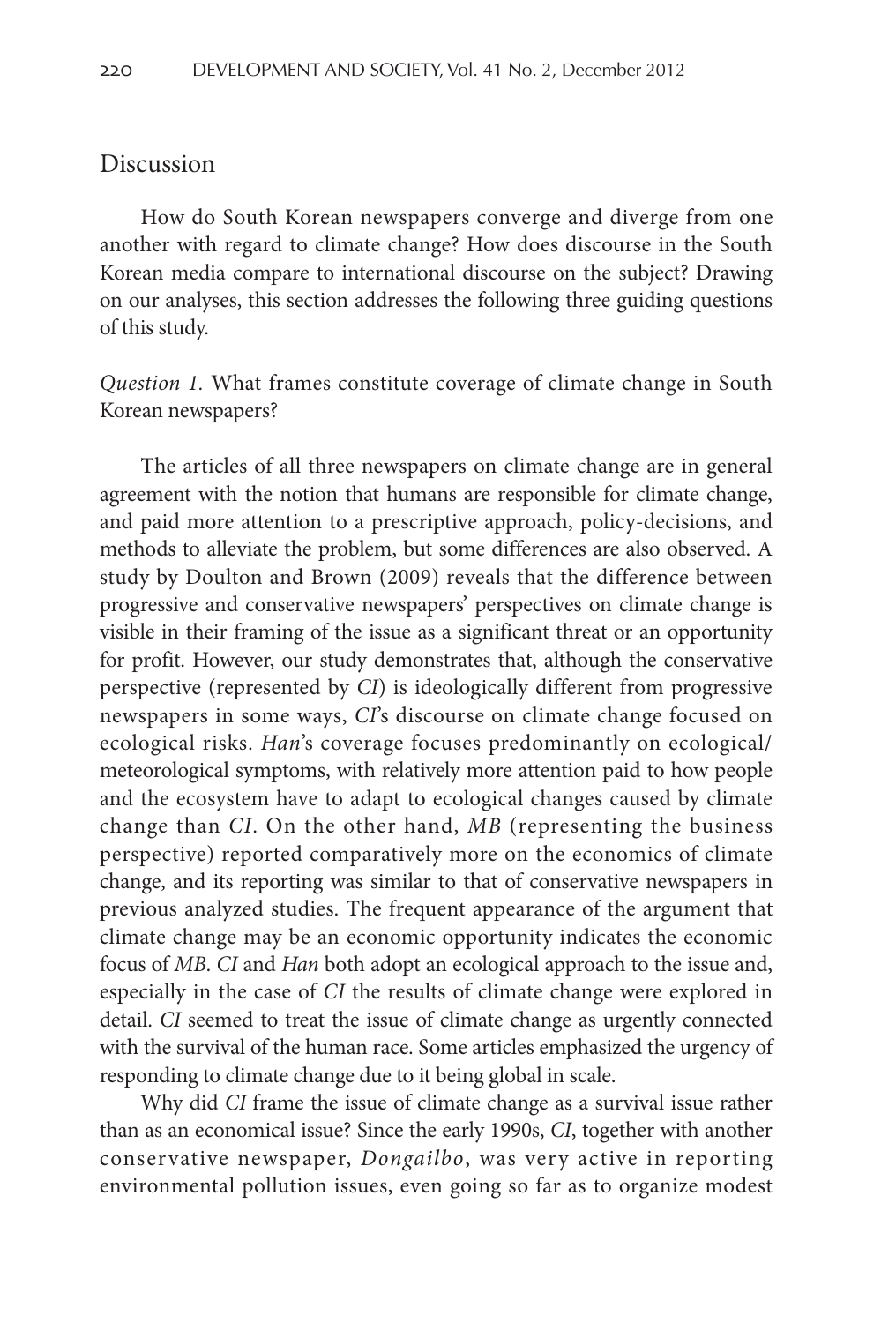### Discussion

How do South Korean newspapers converge and diverge from one another with regard to climate change? How does discourse in the South Korean media compare to international discourse on the subject? Drawing on our analyses, this section addresses the following three guiding questions of this study.

*Question 1.* What frames constitute coverage of climate change in South Korean newspapers?

The articles of all three newspapers on climate change are in general agreement with the notion that humans are responsible for climate change, and paid more attention to a prescriptive approach, policy-decisions, and methods to alleviate the problem, but some differences are also observed. A study by Doulton and Brown (2009) reveals that the difference between progressive and conservative newspapers' perspectives on climate change is visible in their framing of the issue as a significant threat or an opportunity for profit. However, our study demonstrates that, although the conservative perspective (represented by *CI*) is ideologically different from progressive newspapers in some ways, *CI*'s discourse on climate change focused on ecological risks. *Han*'s coverage focuses predominantly on ecological/ meteorological symptoms, with relatively more attention paid to how people and the ecosystem have to adapt to ecological changes caused by climate change than *CI*. On the other hand, *MB* (representing the business perspective) reported comparatively more on the economics of climate change, and its reporting was similar to that of conservative newspapers in previous analyzed studies. The frequent appearance of the argument that climate change may be an economic opportunity indicates the economic focus of *MB*. *CI* and *Han* both adopt an ecological approach to the issue and, especially in the case of *CI* the results of climate change were explored in detail. *CI* seemed to treat the issue of climate change as urgently connected with the survival of the human race. Some articles emphasized the urgency of responding to climate change due to it being global in scale.

Why did *CI* frame the issue of climate change as a survival issue rather than as an economical issue? Since the early 1990s, *CI*, together with another conservative newspaper, *Dongailbo*, was very active in reporting environmental pollution issues, even going so far as to organize modest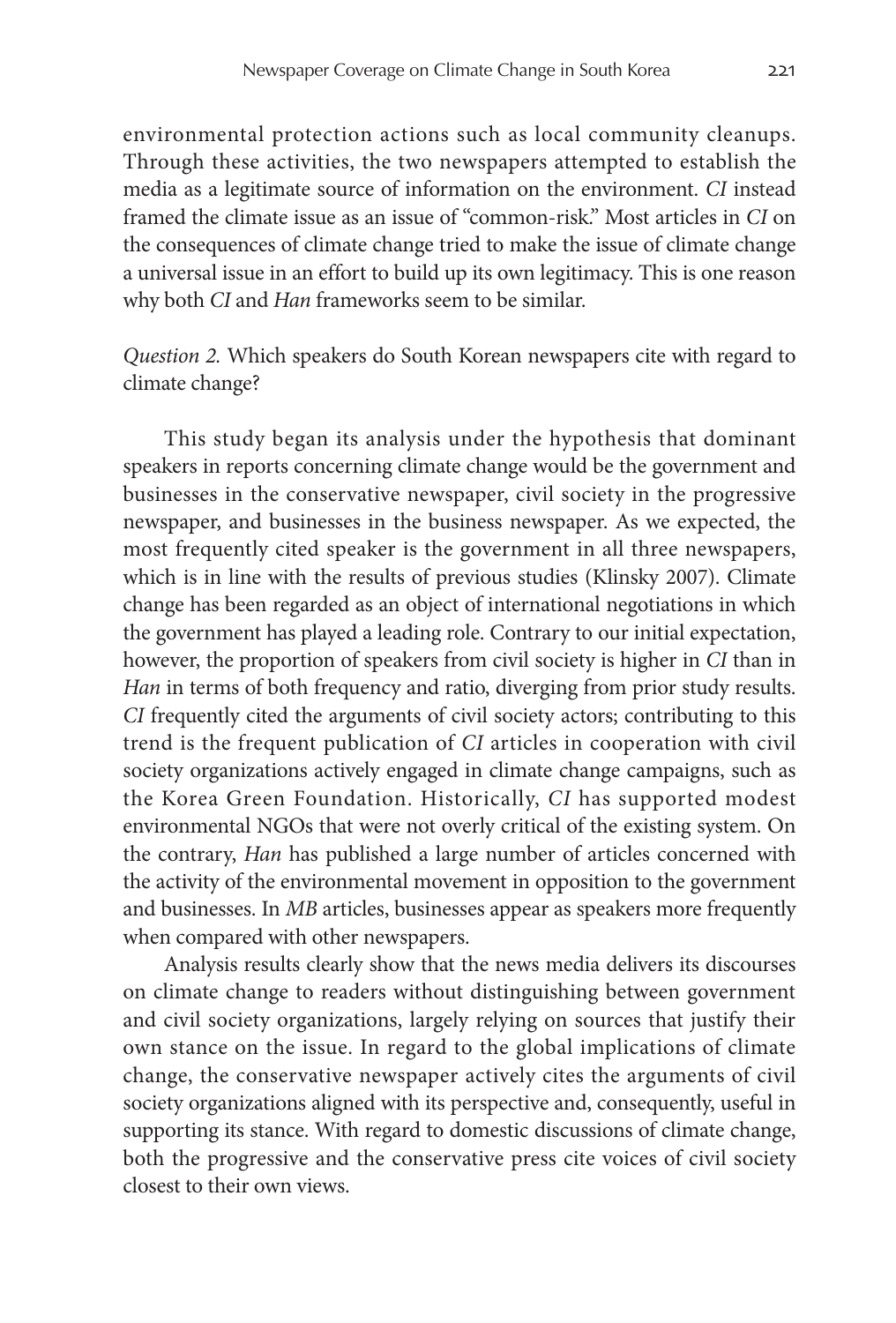environmental protection actions such as local community cleanups. Through these activities, the two newspapers attempted to establish the media as a legitimate source of information on the environment. *CI* instead framed the climate issue as an issue of "common-risk." Most articles in *CI* on the consequences of climate change tried to make the issue of climate change a universal issue in an effort to build up its own legitimacy. This is one reason why both *CI* and *Han* frameworks seem to be similar.

*Question 2.* Which speakers do South Korean newspapers cite with regard to climate change?

This study began its analysis under the hypothesis that dominant speakers in reports concerning climate change would be the government and businesses in the conservative newspaper, civil society in the progressive newspaper, and businesses in the business newspaper. As we expected, the most frequently cited speaker is the government in all three newspapers, which is in line with the results of previous studies (Klinsky 2007). Climate change has been regarded as an object of international negotiations in which the government has played a leading role. Contrary to our initial expectation, however, the proportion of speakers from civil society is higher in *CI* than in *Han* in terms of both frequency and ratio, diverging from prior study results. *CI* frequently cited the arguments of civil society actors; contributing to this trend is the frequent publication of *CI* articles in cooperation with civil society organizations actively engaged in climate change campaigns, such as the Korea Green Foundation. Historically, *CI* has supported modest environmental NGOs that were not overly critical of the existing system. On the contrary, *Han* has published a large number of articles concerned with the activity of the environmental movement in opposition to the government and businesses. In *MB* articles, businesses appear as speakers more frequently when compared with other newspapers.

Analysis results clearly show that the news media delivers its discourses on climate change to readers without distinguishing between government and civil society organizations, largely relying on sources that justify their own stance on the issue. In regard to the global implications of climate change, the conservative newspaper actively cites the arguments of civil society organizations aligned with its perspective and, consequently, useful in supporting its stance. With regard to domestic discussions of climate change, both the progressive and the conservative press cite voices of civil society closest to their own views.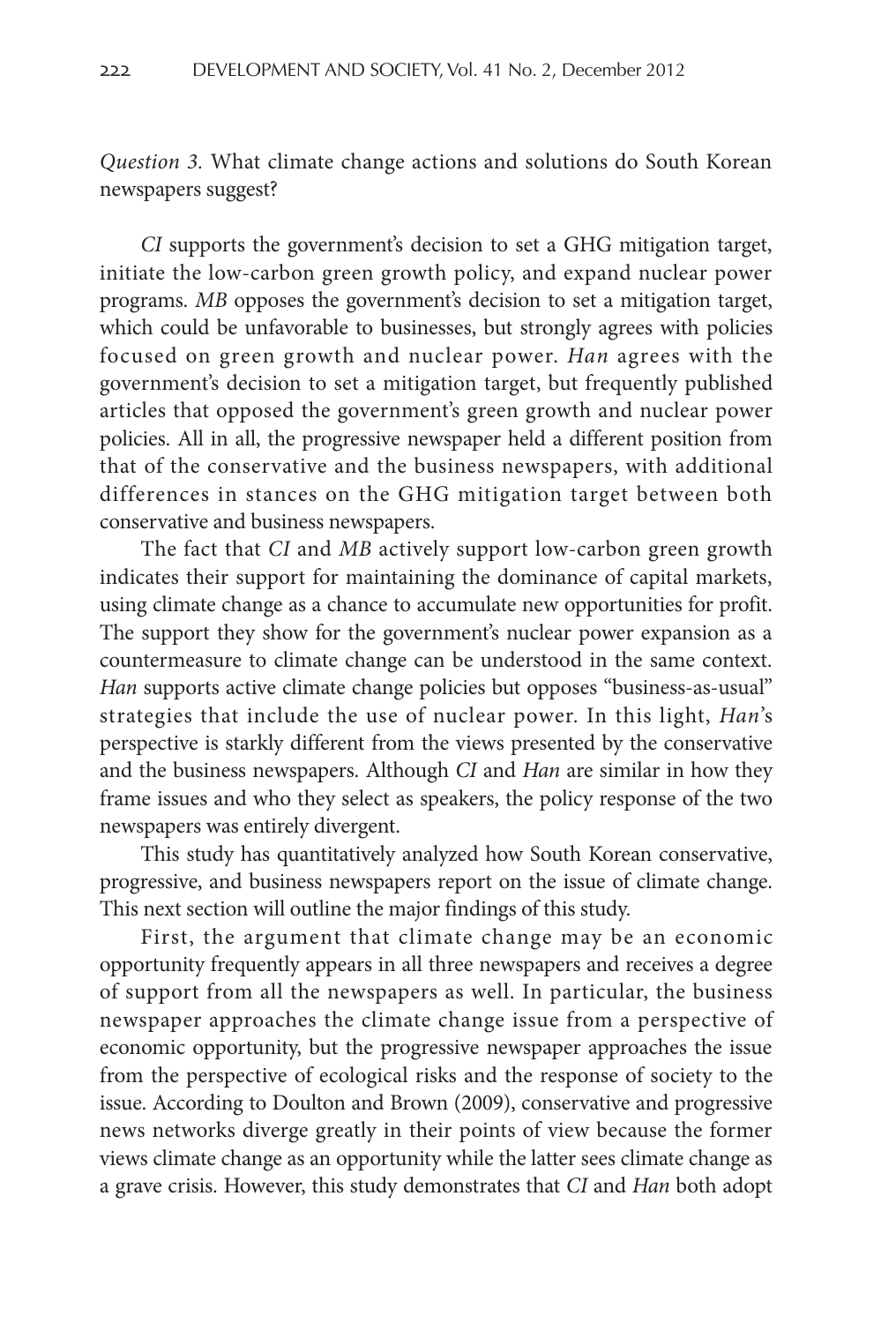*Question 3.* What climate change actions and solutions do South Korean newspapers suggest?

*CI* supports the government's decision to set a GHG mitigation target, initiate the low-carbon green growth policy, and expand nuclear power programs. *MB* opposes the government's decision to set a mitigation target, which could be unfavorable to businesses, but strongly agrees with policies focused on green growth and nuclear power. *Han* agrees with the government's decision to set a mitigation target, but frequently published articles that opposed the government's green growth and nuclear power policies. All in all, the progressive newspaper held a different position from that of the conservative and the business newspapers, with additional differences in stances on the GHG mitigation target between both conservative and business newspapers.

The fact that *CI* and *MB* actively support low-carbon green growth indicates their support for maintaining the dominance of capital markets, using climate change as a chance to accumulate new opportunities for profit. The support they show for the government's nuclear power expansion as a countermeasure to climate change can be understood in the same context. *Han* supports active climate change policies but opposes "business-as-usual" strategies that include the use of nuclear power. In this light, *Han*'s perspective is starkly different from the views presented by the conservative and the business newspapers. Although *CI* and *Han* are similar in how they frame issues and who they select as speakers, the policy response of the two newspapers was entirely divergent.

This study has quantitatively analyzed how South Korean conservative, progressive, and business newspapers report on the issue of climate change. This next section will outline the major findings of this study.

First, the argument that climate change may be an economic opportunity frequently appears in all three newspapers and receives a degree of support from all the newspapers as well. In particular, the business newspaper approaches the climate change issue from a perspective of economic opportunity, but the progressive newspaper approaches the issue from the perspective of ecological risks and the response of society to the issue. According to Doulton and Brown (2009), conservative and progressive news networks diverge greatly in their points of view because the former views climate change as an opportunity while the latter sees climate change as a grave crisis. However, this study demonstrates that *CI* and *Han* both adopt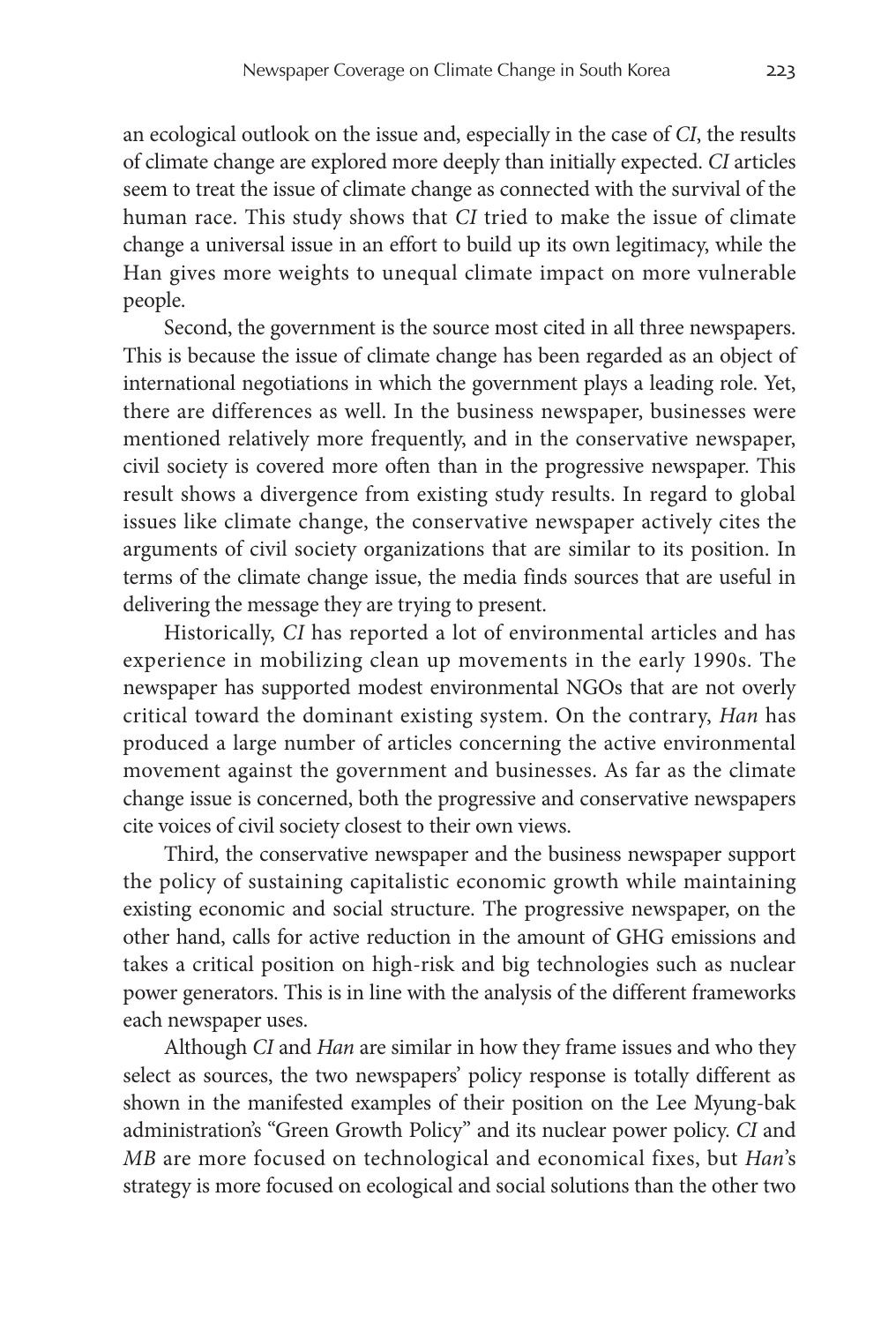an ecological outlook on the issue and, especially in the case of *CI*, the results of climate change are explored more deeply than initially expected. *CI* articles seem to treat the issue of climate change as connected with the survival of the human race. This study shows that *CI* tried to make the issue of climate change a universal issue in an effort to build up its own legitimacy, while the Han gives more weights to unequal climate impact on more vulnerable people.

Second, the government is the source most cited in all three newspapers. This is because the issue of climate change has been regarded as an object of international negotiations in which the government plays a leading role. Yet, there are differences as well. In the business newspaper, businesses were mentioned relatively more frequently, and in the conservative newspaper, civil society is covered more often than in the progressive newspaper. This result shows a divergence from existing study results. In regard to global issues like climate change, the conservative newspaper actively cites the arguments of civil society organizations that are similar to its position. In terms of the climate change issue, the media finds sources that are useful in delivering the message they are trying to present.

Historically, *CI* has reported a lot of environmental articles and has experience in mobilizing clean up movements in the early 1990s. The newspaper has supported modest environmental NGOs that are not overly critical toward the dominant existing system. On the contrary, *Han* has produced a large number of articles concerning the active environmental movement against the government and businesses. As far as the climate change issue is concerned, both the progressive and conservative newspapers cite voices of civil society closest to their own views.

Third, the conservative newspaper and the business newspaper support the policy of sustaining capitalistic economic growth while maintaining existing economic and social structure. The progressive newspaper, on the other hand, calls for active reduction in the amount of GHG emissions and takes a critical position on high-risk and big technologies such as nuclear power generators. This is in line with the analysis of the different frameworks each newspaper uses.

Although *CI* and *Han* are similar in how they frame issues and who they select as sources, the two newspapers' policy response is totally different as shown in the manifested examples of their position on the Lee Myung-bak administration's "Green Growth Policy" and its nuclear power policy. *CI* and *MB* are more focused on technological and economical fixes, but *Han*'s strategy is more focused on ecological and social solutions than the other two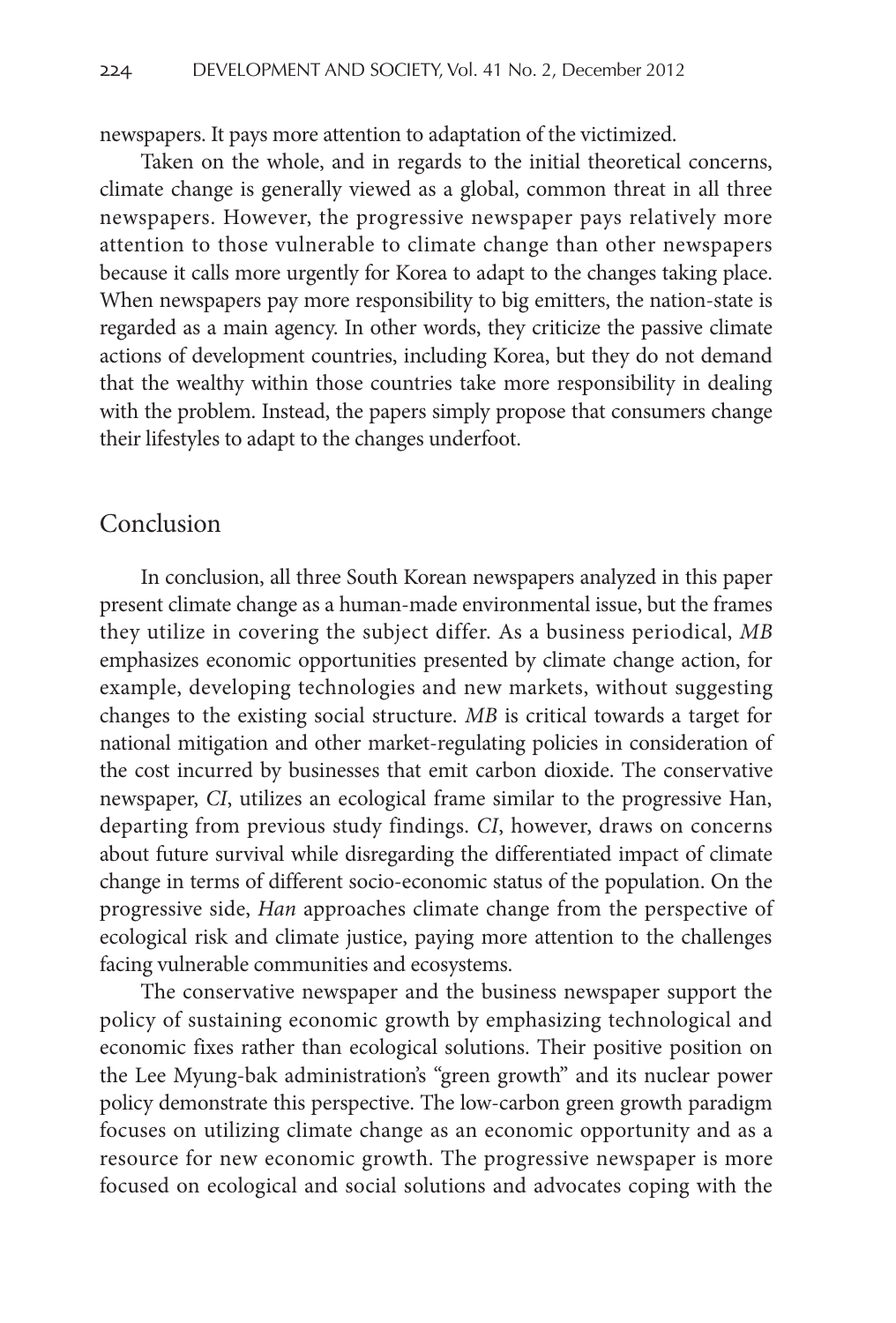newspapers. It pays more attention to adaptation of the victimized.

Taken on the whole, and in regards to the initial theoretical concerns, climate change is generally viewed as a global, common threat in all three newspapers. However, the progressive newspaper pays relatively more attention to those vulnerable to climate change than other newspapers because it calls more urgently for Korea to adapt to the changes taking place. When newspapers pay more responsibility to big emitters, the nation-state is regarded as a main agency. In other words, they criticize the passive climate actions of development countries, including Korea, but they do not demand that the wealthy within those countries take more responsibility in dealing with the problem. Instead, the papers simply propose that consumers change their lifestyles to adapt to the changes underfoot.

### Conclusion

In conclusion, all three South Korean newspapers analyzed in this paper present climate change as a human-made environmental issue, but the frames they utilize in covering the subject differ. As a business periodical, *MB* emphasizes economic opportunities presented by climate change action, for example, developing technologies and new markets, without suggesting changes to the existing social structure. *MB* is critical towards a target for national mitigation and other market-regulating policies in consideration of the cost incurred by businesses that emit carbon dioxide. The conservative newspaper, *CI*, utilizes an ecological frame similar to the progressive Han, departing from previous study findings. *CI*, however, draws on concerns about future survival while disregarding the differentiated impact of climate change in terms of different socio-economic status of the population. On the progressive side, *Han* approaches climate change from the perspective of ecological risk and climate justice, paying more attention to the challenges facing vulnerable communities and ecosystems.

The conservative newspaper and the business newspaper support the policy of sustaining economic growth by emphasizing technological and economic fixes rather than ecological solutions. Their positive position on the Lee Myung-bak administration's "green growth" and its nuclear power policy demonstrate this perspective. The low-carbon green growth paradigm focuses on utilizing climate change as an economic opportunity and as a resource for new economic growth. The progressive newspaper is more focused on ecological and social solutions and advocates coping with the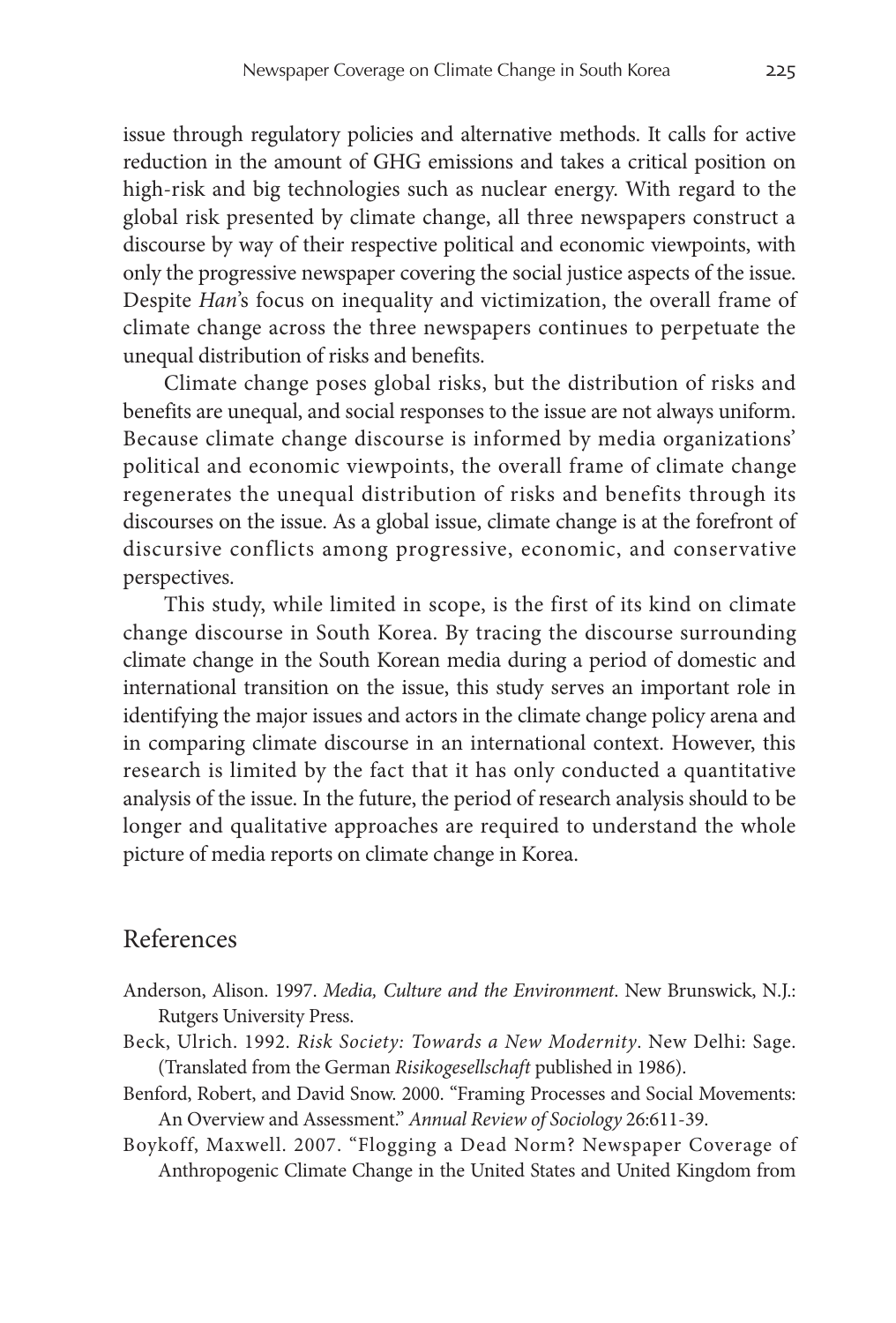issue through regulatory policies and alternative methods. It calls for active reduction in the amount of GHG emissions and takes a critical position on high-risk and big technologies such as nuclear energy. With regard to the global risk presented by climate change, all three newspapers construct a discourse by way of their respective political and economic viewpoints, with only the progressive newspaper covering the social justice aspects of the issue. Despite *Han*'s focus on inequality and victimization, the overall frame of climate change across the three newspapers continues to perpetuate the unequal distribution of risks and benefits.

Climate change poses global risks, but the distribution of risks and benefits are unequal, and social responses to the issue are not always uniform. Because climate change discourse is informed by media organizations' political and economic viewpoints, the overall frame of climate change regenerates the unequal distribution of risks and benefits through its discourses on the issue. As a global issue, climate change is at the forefront of discursive conflicts among progressive, economic, and conservative perspectives.

This study, while limited in scope, is the first of its kind on climate change discourse in South Korea. By tracing the discourse surrounding climate change in the South Korean media during a period of domestic and international transition on the issue, this study serves an important role in identifying the major issues and actors in the climate change policy arena and in comparing climate discourse in an international context. However, this research is limited by the fact that it has only conducted a quantitative analysis of the issue. In the future, the period of research analysis should to be longer and qualitative approaches are required to understand the whole picture of media reports on climate change in Korea.

# References

- Anderson, Alison. 1997. *Media, Culture and the Environment*. New Brunswick, N.J.: Rutgers University Press.
- Beck, Ulrich. 1992. *Risk Society: Towards a New Modernity*. New Delhi: Sage. (Translated from the German *Risikogesellschaft* published in 1986).
- Benford, Robert, and David Snow. 2000. "Framing Processes and Social Movements: An Overview and Assessment." *Annual Review of Sociology* 26:611-39.
- Boykoff, Maxwell. 2007. "Flogging a Dead Norm? Newspaper Coverage of Anthropogenic Climate Change in the United States and United Kingdom from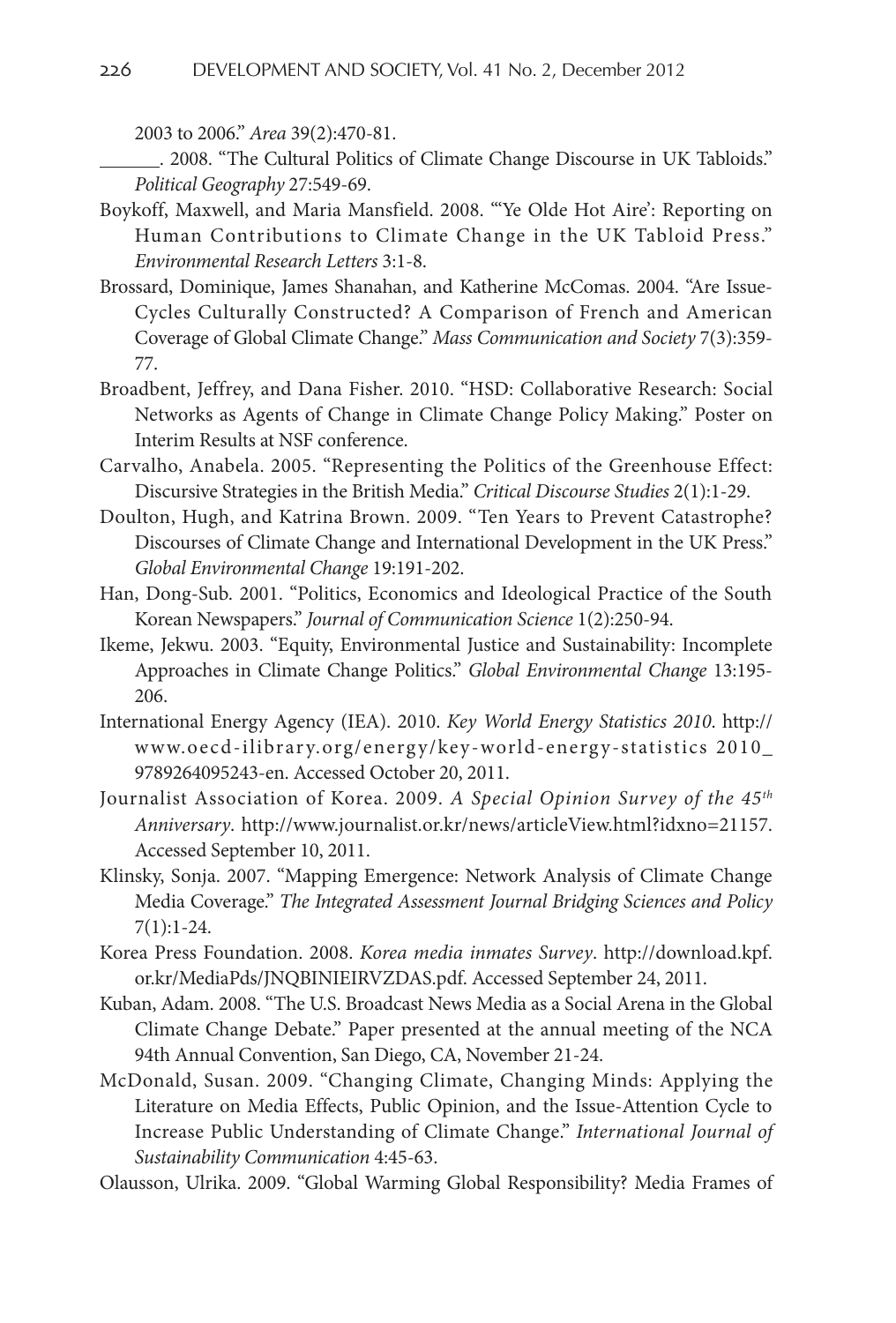2003 to 2006." *Area* 39(2):470-81.

 . 2008. "The Cultural Politics of Climate Change Discourse in UK Tabloids." *Political Geography* 27:549-69.

- Boykoff, Maxwell, and Maria Mansfield. 2008. "'Ye Olde Hot Aire': Reporting on Human Contributions to Climate Change in the UK Tabloid Press." *Environmental Research Letters* 3:1-8.
- Brossard, Dominique, James Shanahan, and Katherine McComas. 2004. "Are Issue-Cycles Culturally Constructed? A Comparison of French and American Coverage of Global Climate Change." *Mass Communication and Society* 7(3):359- 77.
- Broadbent, Jeffrey, and Dana Fisher. 2010. "HSD: Collaborative Research: Social Networks as Agents of Change in Climate Change Policy Making." Poster on Interim Results at NSF conference.
- Carvalho, Anabela. 2005. "Representing the Politics of the Greenhouse Effect: Discursive Strategies in the British Media." *Critical Discourse Studies* 2(1):1-29.
- Doulton, Hugh, and Katrina Brown. 2009. "Ten Years to Prevent Catastrophe? Discourses of Climate Change and International Development in the UK Press." *Global Environmental Change* 19:191-202.
- Han, Dong-Sub. 2001. "Politics, Economics and Ideological Practice of the South Korean Newspapers." *Journal of Communication Science* 1(2):250-94.
- Ikeme, Jekwu. 2003. "Equity, Environmental Justice and Sustainability: Incomplete Approaches in Climate Change Politics." *Global Environmental Change* 13:195- 206.
- International Energy Agency (IEA). 2010. *Key World Energy Statistics 2010*. http:// www.oecd-ilibrary.org/energy/key-world-energy-statistics 2010\_ 9789264095243-en. Accessed October 20, 2011.
- Journalist Association of Korea. 2009. *A Special Opinion Survey of the 45th Anniversary*. http://www.journalist.or.kr/news/articleView.html?idxno=21157. Accessed September 10, 2011.
- Klinsky, Sonja. 2007. "Mapping Emergence: Network Analysis of Climate Change Media Coverage." *The Integrated Assessment Journal Bridging Sciences and Policy* 7(1):1-24.
- Korea Press Foundation. 2008. *Korea media inmates Survey*. http://download.kpf. or.kr/MediaPds/JNQBINIEIRVZDAS.pdf. Accessed September 24, 2011.
- Kuban, Adam. 2008. "The U.S. Broadcast News Media as a Social Arena in the Global Climate Change Debate." Paper presented at the annual meeting of the NCA 94th Annual Convention, San Diego, CA, November 21-24.
- McDonald, Susan. 2009. "Changing Climate, Changing Minds: Applying the Literature on Media Effects, Public Opinion, and the Issue-Attention Cycle to Increase Public Understanding of Climate Change." *International Journal of Sustainability Communication* 4:45-63.

Olausson, Ulrika. 2009. "Global Warming Global Responsibility? Media Frames of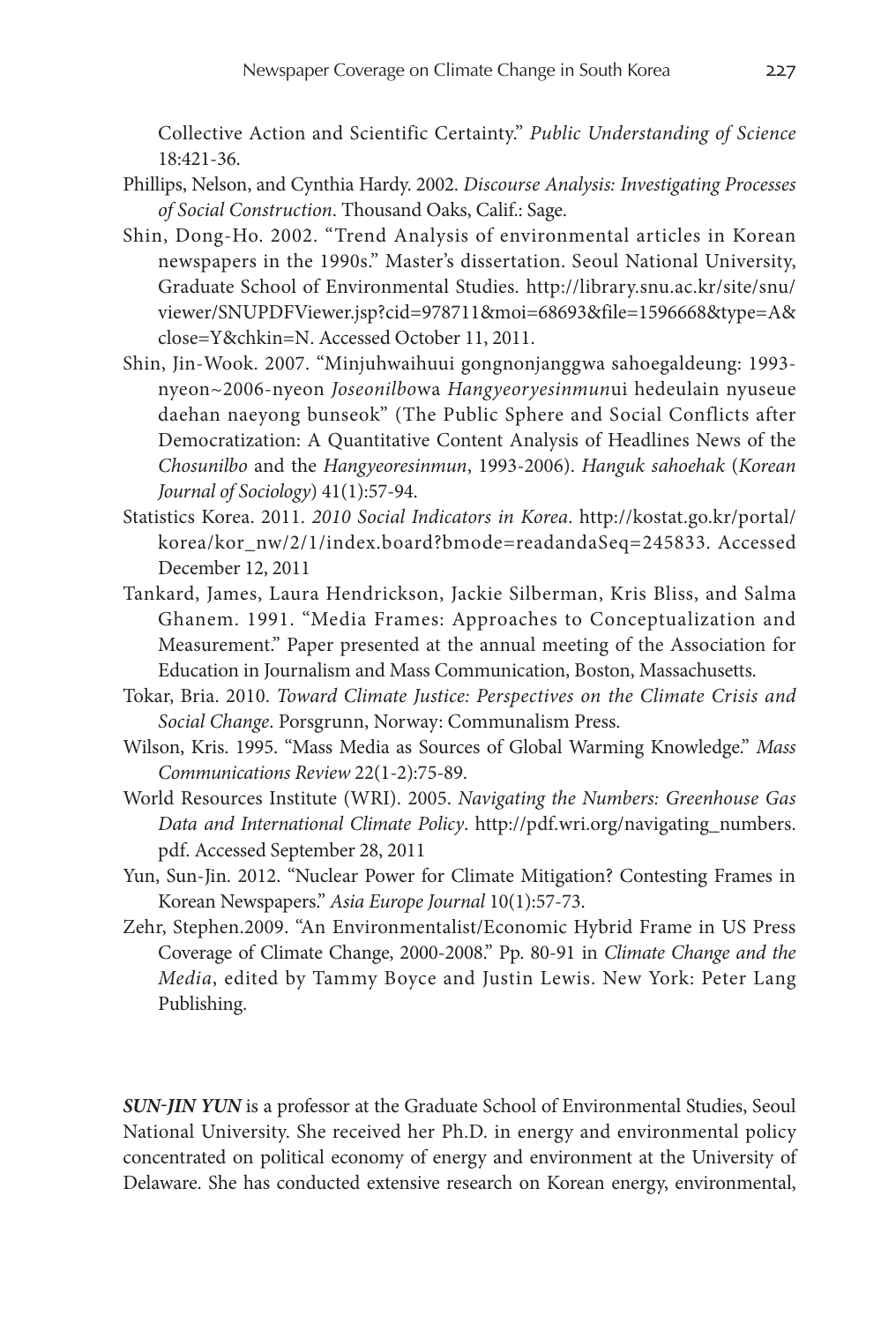Collective Action and Scientific Certainty." *Public Understanding of Science* 18:421-36.

- Phillips, Nelson, and Cynthia Hardy. 2002. *Discourse Analysis: Investigating Processes of Social Construction*. Thousand Oaks, Calif.: Sage.
- Shin, Dong-Ho. 2002. "Trend Analysis of environmental articles in Korean newspapers in the 1990s." Master's dissertation. Seoul National University, Graduate School of Environmental Studies. http://library.snu.ac.kr/site/snu/ viewer/SNUPDFViewer.jsp?cid=978711&moi=68693&file=1596668&type=A& close=Y&chkin=N. Accessed October 11, 2011.
- Shin, Jin-Wook. 2007. "Minjuhwaihuui gongnonjanggwa sahoegaldeung: 1993 nyeon~2006-nyeon *Joseonilbo*wa *Hangyeoryesinmun*ui hedeulain nyuseue daehan naeyong bunseok" (The Public Sphere and Social Conflicts after Democratization: A Quantitative Content Analysis of Headlines News of the *Chosunilbo* and the *Hangyeoresinmun*, 1993-2006). *Hanguk sahoehak* (*Korean Journal of Sociology*) 41(1):57-94.
- Statistics Korea. 2011. *2010 Social Indicators in Korea*. http://kostat.go.kr/portal/ korea/kor\_nw/2/1/index.board?bmode=readandaSeq=245833. Accessed December 12, 2011
- Tankard, James, Laura Hendrickson, Jackie Silberman, Kris Bliss, and Salma Ghanem. 1991. "Media Frames: Approaches to Conceptualization and Measurement." Paper presented at the annual meeting of the Association for Education in Journalism and Mass Communication, Boston, Massachusetts.
- Tokar, Bria. 2010. *Toward Climate Justice: Perspectives on the Climate Crisis and Social Change*. Porsgrunn, Norway: Communalism Press.
- Wilson, Kris. 1995. "Mass Media as Sources of Global Warming Knowledge." *Mass Communications Review* 22(1-2):75-89.
- World Resources Institute (WRI). 2005. *Navigating the Numbers: Greenhouse Gas Data and International Climate Policy*. http://pdf.wri.org/navigating\_numbers. pdf. Accessed September 28, 2011
- Yun, Sun-Jin. 2012. "Nuclear Power for Climate Mitigation? Contesting Frames in Korean Newspapers." *Asia Europe Journal* 10(1):57-73.
- Zehr, Stephen.2009. "An Environmentalist/Economic Hybrid Frame in US Press Coverage of Climate Change, 2000-2008." Pp. 80-91 in *Climate Change and the Media*, edited by Tammy Boyce and Justin Lewis. New York: Peter Lang Publishing.

*Sun-Jin Yun* is a professor at the Graduate School of Environmental Studies, Seoul National University. She received her Ph.D. in energy and environmental policy concentrated on political economy of energy and environment at the University of Delaware. She has conducted extensive research on Korean energy, environmental,